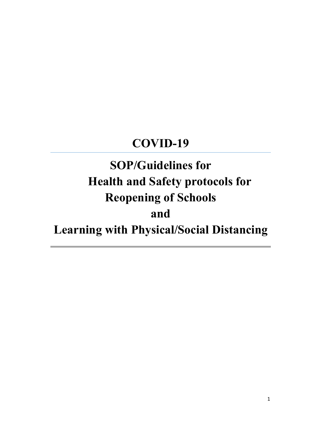# COVID-19

# SOP/Guidelines for Health and Safety protocols for Reopening of Schools and Learning with Physical/Social Distancing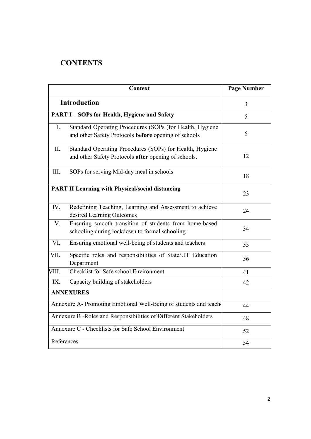# **CONTENTS**

| <b>Context</b>                                                    |                                                                                                                  | <b>Page Number</b> |
|-------------------------------------------------------------------|------------------------------------------------------------------------------------------------------------------|--------------------|
| <b>Introduction</b>                                               |                                                                                                                  | $\overline{3}$     |
| <b>PART I-SOPs for Health, Hygiene and Safety</b>                 |                                                                                                                  | 5                  |
| $I_{\cdot}$                                                       | Standard Operating Procedures (SOPs )for Health, Hygiene<br>and other Safety Protocols before opening of schools | 6                  |
| II.                                                               | Standard Operating Procedures (SOPs) for Health, Hygiene<br>and other Safety Protocols after opening of schools. | 12                 |
| III.                                                              | SOPs for serving Mid-day meal in schools                                                                         | 18                 |
| <b>PART II Learning with Physical/social distancing</b>           |                                                                                                                  | 23                 |
| IV.                                                               | Redefining Teaching, Learning and Assessment to achieve<br>desired Learning Outcomes                             | 24                 |
| $\overline{V}$ .                                                  | Ensuring smooth transition of students from home-based<br>schooling during lockdown to formal schooling          | 34                 |
| VI.                                                               | Ensuring emotional well-being of students and teachers                                                           | 35                 |
| VII.                                                              | Specific roles and responsibilities of State/UT Education<br>Department                                          | 36                 |
| VIII.                                                             | <b>Checklist for Safe school Environment</b>                                                                     | 41                 |
| IX.                                                               | Capacity building of stakeholders                                                                                | 42                 |
| <b>ANNEXURES</b>                                                  |                                                                                                                  |                    |
| Annexure A- Promoting Emotional Well-Being of students and teach  |                                                                                                                  | 44                 |
| Annexure B - Roles and Responsibilities of Different Stakeholders |                                                                                                                  | 48                 |
| Annexure C - Checklists for Safe School Environment               |                                                                                                                  | 52                 |
| References                                                        |                                                                                                                  | 54                 |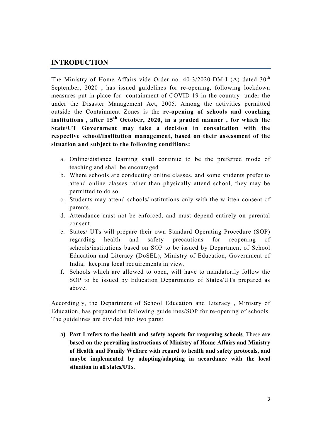# INTRODUCTION

The Ministry of Home Affairs vide Order no. 40-3/2020-DM-I (A) dated 30<sup>th</sup> September, 2020 , has issued guidelines for re-opening, following lockdown measures put in place for containment of COVID-19 in the country under the under the Disaster Management Act, 2005. Among the activities permitted outside the Containment Zones is the re-opening of schools and coaching institutions, after  $15<sup>th</sup>$  October, 2020, in a graded manner, for which the State/UT Government may take a decision in consultation with the respective school/institution management, based on their assessment of the situation and subject to the following conditions:

- a. Online/distance learning shall continue to be the preferred mode of teaching and shall be encouraged
- b. Where schools are conducting online classes, and some students prefer to attend online classes rather than physically attend school, they may be permitted to do so.
- c. Students may attend schools/institutions only with the written consent of parents.
- d. Attendance must not be enforced, and must depend entirely on parental consent
- e. States/ UTs will prepare their own Standard Operating Procedure (SOP) regarding health and safety precautions for reopening of schools/institutions based on SOP to be issued by Department of School Education and Literacy (DoSEL), Ministry of Education, Government of India, keeping local requirements in view.
- f. Schools which are allowed to open, will have to mandatorily follow the SOP to be issued by Education Departments of States/UTs prepared as above.

Accordingly, the Department of School Education and Literacy , Ministry of Education, has prepared the following guidelines/SOP for re-opening of schools. The guidelines are divided into two parts:

a) Part I refers to the health and safety aspects for reopening schools. These are based on the prevailing instructions of Ministry of Home Affairs and Ministry of Health and Family Welfare with regard to health and safety protocols, and maybe implemented by adopting/adapting in accordance with the local situation in all states/UTs.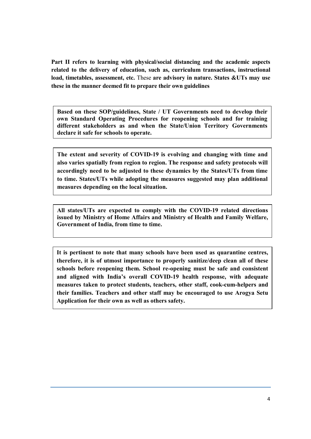Part II refers to learning with physical/social distancing and the academic aspects related to the delivery of education, such as, curriculum transactions, instructional load, timetables, assessment, etc. These are advisory in nature. States &UTs may use these in the manner deemed fit to prepare their own guidelines

Based on these SOP/guidelines, State / UT Governments need to develop their own Standard Operating Procedures for reopening schools and for training different stakeholders as and when the State/Union Territory Governments declare it safe for schools to operate.

The extent and severity of COVID-19 is evolving and changing with time and also varies spatially from region to region. The response and safety protocols will accordingly need to be adjusted to these dynamics by the States/UTs from time to time. States/UTs while adopting the measures suggested may plan additional measures depending on the local situation.

All states/UTs are expected to comply with the COVID-19 related directions issued by Ministry of Home Affairs and Ministry of Health and Family Welfare, Government of India, from time to time.

It is pertinent to note that many schools have been used as quarantine centres, therefore, it is of utmost importance to properly sanitize/deep clean all of these schools before reopening them. School re-opening must be safe and consistent and aligned with India's overall COVID-19 health response, with adequate measures taken to protect students, teachers, other staff, cook-cum-helpers and their families. Teachers and other staff may be encouraged to use Arogya Setu Application for their own as well as others safety.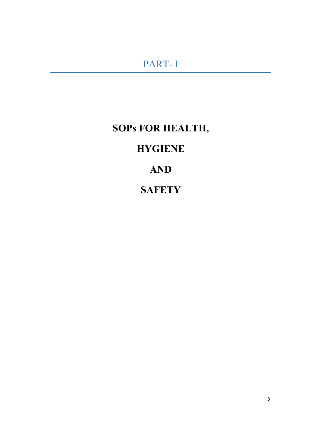# SOPs FOR HEALTH,

# **HYGIENE**

AND

# **SAFETY**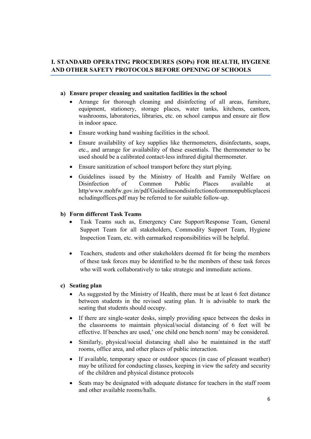# I. STANDARD OPERATING PROCEDURES (SOPs) FOR HEALTH, HYGIENE AND OTHER SAFETY PROTOCOLS BEFORE OPENING OF SCHOOLS

# a) Ensure proper cleaning and sanitation facilities in the school

- Arrange for thorough cleaning and disinfecting of all areas, furniture, equipment, stationery, storage places, water tanks, kitchens, canteen, washrooms, laboratories, libraries, etc. on school campus and ensure air flow in indoor space.
- Ensure working hand washing facilities in the school.
- Ensure availability of key supplies like thermometers, disinfectants, soaps, etc., and arrange for availability of these essentials. The thermometer to be used should be a calibrated contact-less infrared digital thermometer.
- Ensure sanitization of school transport before they start plying.
- Guidelines issued by the Ministry of Health and Family Welfare on Disinfection of Common Public Places available at http/www.mohfw.gov.in/pdf/Guidelinesondisinfectionofcommonpublicplacesi ncludingoffices.pdf may be referred to for suitable follow-up.

## b) Form different Task Teams

- Task Teams such as, Emergency Care Support/Response Team, General Support Team for all stakeholders, Commodity Support Team, Hygiene Inspection Team, etc. with earmarked responsibilities will be helpful.
- Teachers, students and other stakeholders deemed fit for being the members of these task forces may be identified to be the members of these task forces who will work collaboratively to take strategic and immediate actions.

## c) Seating plan

- As suggested by the Ministry of Health, there must be at least 6 feet distance between students in the revised seating plan. It is advisable to mark the seating that students should occupy.
- If there are single-seater desks, simply providing space between the desks in the classrooms to maintain physical/social distancing of 6 feet will be effective. If benches are used,' one child one bench norm' may be considered.
- Similarly, physical/social distancing shall also be maintained in the staff rooms, office area, and other places of public interaction.
- If available, temporary space or outdoor spaces (in case of pleasant weather) may be utilized for conducting classes, keeping in view the safety and security of the children and physical distance protocols
- Seats may be designated with adequate distance for teachers in the staff room and other available rooms/halls.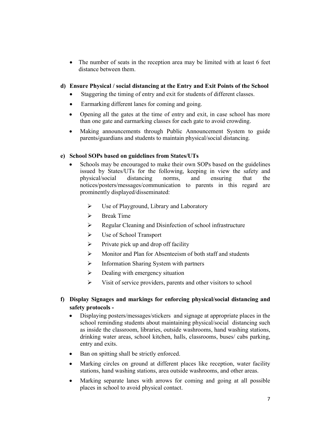The number of seats in the reception area may be limited with at least 6 feet distance between them.

# d) Ensure Physical / social distancing at the Entry and Exit Points of the School

- Staggering the timing of entry and exit for students of different classes.
- Earmarking different lanes for coming and going.
- Opening all the gates at the time of entry and exit, in case school has more than one gate and earmarking classes for each gate to avoid crowding.
- Making announcements through Public Announcement System to guide parents/guardians and students to maintain physical/social distancing.

## e) School SOPs based on guidelines from States/UTs

- Schools may be encouraged to make their own SOPs based on the guidelines issued by States/UTs for the following, keeping in view the safety and physical/social distancing norms, and ensuring that the notices/posters/messages/communication to parents in this regard are prominently displayed/disseminated:
	- Use of Playground, Library and Laboratory
	- $\triangleright$  Break Time
	- $\triangleright$  Regular Cleaning and Disinfection of school infrastructure
	- Use of School Transport
	- $\triangleright$  Private pick up and drop off facility
	- Monitor and Plan for Absenteeism of both staff and students
	- $\triangleright$  Information Sharing System with partners
	- $\triangleright$  Dealing with emergency situation
	- $\triangleright$  Visit of service providers, parents and other visitors to school

# f) Display Signages and markings for enforcing physical/social distancing and safety protocols -

- Displaying posters/messages/stickers and signage at appropriate places in the school reminding students about maintaining physical/social distancing such as inside the classroom, libraries, outside washrooms, hand washing stations, drinking water areas, school kitchen, halls, classrooms, buses/ cabs parking, entry and exits.
- Ban on spitting shall be strictly enforced.
- Marking circles on ground at different places like reception, water facility stations, hand washing stations, area outside washrooms, and other areas.
- Marking separate lanes with arrows for coming and going at all possible places in school to avoid physical contact.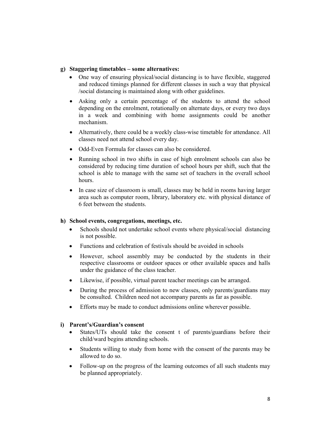### g) Staggering timetables – some alternatives:

- One way of ensuring physical/social distancing is to have flexible, staggered and reduced timings planned for different classes in such a way that physical /social distancing is maintained along with other guidelines.
- Asking only a certain percentage of the students to attend the school depending on the enrolment, rotationally on alternate days, or every two days in a week and combining with home assignments could be another mechanism.
- Alternatively, there could be a weekly class-wise timetable for attendance. All classes need not attend school every day.
- Odd-Even Formula for classes can also be considered.
- Running school in two shifts in case of high enrolment schools can also be considered by reducing time duration of school hours per shift, such that the school is able to manage with the same set of teachers in the overall school hours.
- In case size of classroom is small, classes may be held in rooms having larger area such as computer room, library, laboratory etc. with physical distance of 6 feet between the students.

### h) School events, congregations, meetings, etc.

- Schools should not undertake school events where physical/social distancing is not possible.
- Functions and celebration of festivals should be avoided in schools
- However, school assembly may be conducted by the students in their respective classrooms or outdoor spaces or other available spaces and halls under the guidance of the class teacher.
- Likewise, if possible, virtual parent teacher meetings can be arranged.
- During the process of admission to new classes, only parents/guardians may be consulted. Children need not accompany parents as far as possible.
- Efforts may be made to conduct admissions online wherever possible.

## i) Parent's/Guardian's consent

- States/UTs should take the consent t of parents/guardians before their child/ward begins attending schools.
- Students willing to study from home with the consent of the parents may be allowed to do so.
- Follow-up on the progress of the learning outcomes of all such students may be planned appropriately.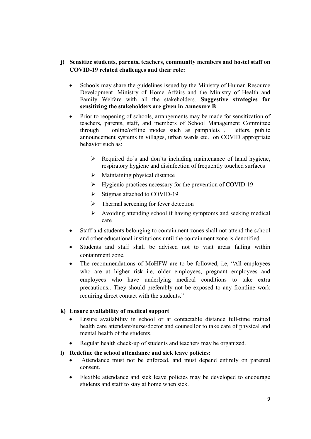# j) Sensitize students, parents, teachers, community members and hostel staff on COVID-19 related challenges and their role:

- Schools may share the guidelines issued by the Ministry of Human Resource Development, Ministry of Home Affairs and the Ministry of Health and Family Welfare with all the stakeholders. Suggestive strategies for sensitizing the stakeholders are given in Annexure B
- Prior to reopening of schools, arrangements may be made for sensitization of teachers, parents, staff, and members of School Management Committee through online/offline modes such as pamphlets , letters, public announcement systems in villages, urban wards etc. on COVID appropriate behavior such as:
	- $\triangleright$  Required do's and don'ts including maintenance of hand hygiene, respiratory hygiene and disinfection of frequently touched surfaces
	- $\triangleright$  Maintaining physical distance
	- $\triangleright$  Hygienic practices necessary for the prevention of COVID-19
	- $\triangleright$  Stigmas attached to COVID-19
	- $\triangleright$  Thermal screening for fever detection
	- $\triangleright$  Avoiding attending school if having symptoms and seeking medical care
- Staff and students belonging to containment zones shall not attend the school and other educational institutions until the containment zone is denotified.
- Students and staff shall be advised not to visit areas falling within containment zone.
- The recommendations of MoHFW are to be followed, i.e, "All employees who are at higher risk i.e, older employees, pregnant employees and employees who have underlying medical conditions to take extra precautions.. They should preferably not be exposed to any frontline work requiring direct contact with the students."

## k) Ensure availability of medical support

- Ensure availability in school or at contactable distance full-time trained health care attendant/nurse/doctor and counsellor to take care of physical and mental health of the students.
- Regular health check-up of students and teachers may be organized.

## l) Redefine the school attendance and sick leave policies:

- Attendance must not be enforced, and must depend entirely on parental consent.
- Flexible attendance and sick leave policies may be developed to encourage students and staff to stay at home when sick.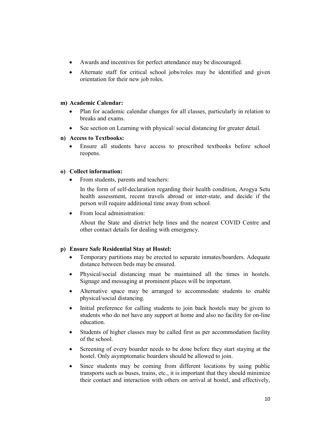- Awards and incentives for perfect attendance may be discouraged.
- Alternate staff for critical school jobs/roles may be identified and given orientation for their new job roles.

## m) Academic Calendar:

- Plan for academic calendar changes for all classes, particularly in relation to breaks and exams.
- See section on Learning with physical/ social distancing for greater detail.

## n) Access to Textbooks:

 Ensure all students have access to prescribed textbooks before school reopens.

## o) Collect information:

From students, parents and teachers:

In the form of self-declaration regarding their health condition, Arogya Setu health assessment, recent travels abroad or inter-state, and decide if the person will require additional time away from school.

• From local administration:

About the State and district help lines and the nearest COVID Centre and other contact details for dealing with emergency.

## p) Ensure Safe Residential Stay at Hostel:

- Temporary partitions may be erected to separate inmates/boarders. Adequate distance between beds may be ensured.
- Physical/social distancing must be maintained all the times in hostels. Signage and messaging at prominent places will be important.
- Alternative space may be arranged to accommodate students to enable physical/social distancing.
- Initial preference for calling students to join back hostels may be given to students who do not have any support at home and also no facility for on-line education.
- Students of higher classes may be called first as per accommodation facility of the school.
- Screening of every boarder needs to be done before they start staying at the hostel. Only asymptomatic boarders should be allowed to join.
- Since students may be coming from different locations by using public transports such as buses, trains, etc., it is important that they should minimize their contact and interaction with others on arrival at hostel, and effectively,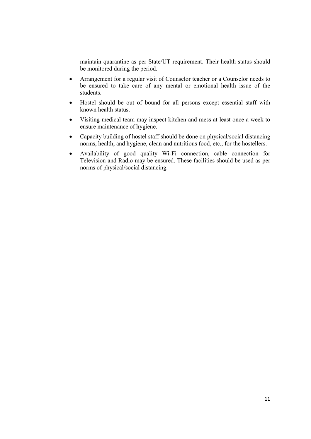maintain quarantine as per State/UT requirement. Their health status should be monitored during the period.

- Arrangement for a regular visit of Counselor teacher or a Counselor needs to be ensured to take care of any mental or emotional health issue of the students.
- Hostel should be out of bound for all persons except essential staff with known health status.
- Visiting medical team may inspect kitchen and mess at least once a week to ensure maintenance of hygiene.
- Capacity building of hostel staff should be done on physical/social distancing norms, health, and hygiene, clean and nutritious food, etc., for the hostellers.
- Availability of good quality Wi-Fi connection, cable connection for Television and Radio may be ensured. These facilities should be used as per norms of physical/social distancing.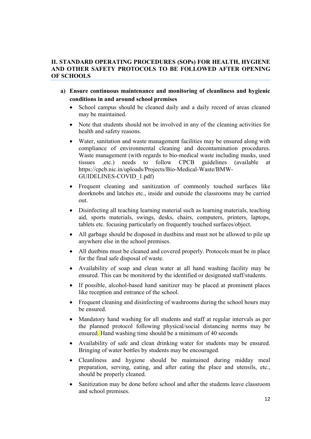# II. STANDARD OPERATING PROCEDURES (SOPs) FOR HEALTH, HYGIENE AND OTHER SAFETY PROTOCOLS TO BE FOLLOWED AFTER OPENING OF SCHOOLS

- a) Ensure continuous maintenance and monitoring of cleanliness and hygienic conditions in and around school premises
	- School campus should be cleaned daily and a daily record of areas cleaned may be maintained.
	- Note that students should not be involved in any of the cleaning activities for health and safety reasons.
	- Water, sanitation and waste management facilities may be ensured along with compliance of environmental cleaning and decontamination procedures. Waste management (with regards to bio-medical waste including masks, used tissues ,etc.) needs to follow CPCB guidelines (available at https://cpcb.nic.in/uploads/Projects/Bio-Medical-Waste/BMW-GUIDELINES-COVID\_1.pdf)
	- Frequent cleaning and sanitization of commonly touched surfaces like doorknobs and latches etc., inside and outside the classrooms may be carried out.
	- Disinfecting all teaching learning material such as learning materials, teaching aid, sports materials, swings, desks, chairs, computers, printers, laptops, tablets etc. focusing particularly on frequently touched surfaces/object.
	- All garbage should be disposed in dustbins and must not be allowed to pile up anywhere else in the school premises.
	- All dustbins must be cleaned and covered properly. Protocols must be in place for the final safe disposal of waste.
	- Availability of soap and clean water at all hand washing facility may be ensured. This can be monitored by the identified or designated staff/students.
	- If possible, alcohol-based hand sanitizer may be placed at prominent places like reception and entrance of the school.
	- Frequent cleaning and disinfecting of washrooms during the school hours may be ensured.
	- Mandatory hand washing for all students and staff at regular intervals as per the planned protocol following physical/social distancing norms may be ensured. Hand washing time should be a minimum of 40 seconds
	- Availability of safe and clean drinking water for students may be ensured. Bringing of water bottles by students may be encouraged.
	- Cleanliness and hygiene should be maintained during midday meal preparation, serving, eating, and after eating the place and utensils, etc., should be properly cleaned.
	- Sanitization may be done before school and after the students leave classroom and school premises.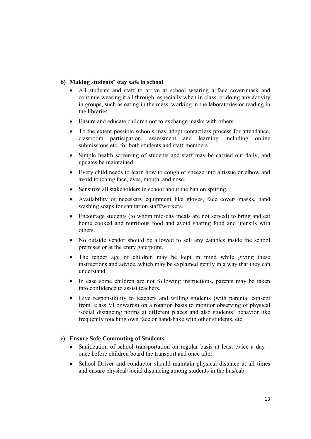# b) Making students' stay safe in school

- All students and staff to arrive at school wearing a face cover/mask and continue wearing it all through, especially when in class, or doing any activity in groups, such as eating in the mess, working in the laboratories or reading in the libraries.
- Ensure and educate children not to exchange masks with others.
- To the extent possible schools may adopt contactless process for attendance, classroom participation, assessment and learning including online submissions etc. for both students and staff members.
- Simple health screening of students and staff may be carried out daily, and updates be maintained.
- Every child needs to learn how to cough or sneeze into a tissue or elbow and avoid touching face, eyes, mouth, and nose.
- Sensitize all stakeholders in school about the ban on spitting.
- Availability of necessary equipment like gloves, face cover/ masks, hand washing soaps for sanitation staff/workers.
- Encourage students (to whom mid-day meals are not served) to bring and eat home cooked and nutritious food and avoid sharing food and utensils with others.
- No outside vendor should be allowed to sell any eatables inside the school premises or at the entry gate/point.
- The tender age of children may be kept in mind while giving these instructions and advice, which may be explained gently in a way that they can understand.
- In case some children are not following instructions, parents may be taken into confidence to assist teachers.
- Give responsibility to teachers and willing students (with parental consent from class VI onwards) on a rotation basis to monitor observing of physical /social distancing norms at different places and also students' behavior like frequently touching own face or handshake with other students, etc.

## c) Ensure Safe Commuting of Students

- Sanitization of school transportation on regular basis at least twice a day once before children board the transport and once after.
- School Driver and conductor should maintain physical distance at all times and ensure physical/social distancing among students in the bus/cab.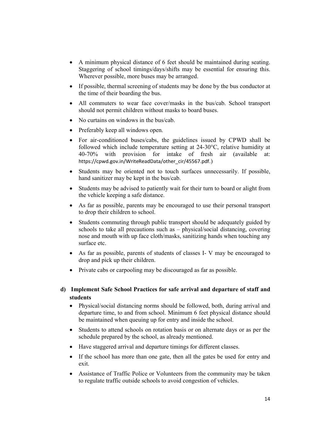- A minimum physical distance of 6 feet should be maintained during seating. Staggering of school timings/days/shifts may be essential for ensuring this. Wherever possible, more buses may be arranged.
- If possible, thermal screening of students may be done by the bus conductor at the time of their boarding the bus.
- All commuters to wear face cover/masks in the bus/cab. School transport should not permit children without masks to board buses.
- No curtains on windows in the bus/cab.
- Preferably keep all windows open.
- For air-conditioned buses/cabs, the guidelines issued by CPWD shall be followed which include temperature setting at 24-30°C, relative humidity at 40-70% with provision for intake of fresh air (available at: https://cpwd.gov.in/WriteReadData/other\_cir/45567.pdf.)
- Students may be oriented not to touch surfaces unnecessarily. If possible, hand sanitizer may be kept in the bus/cab.
- Students may be advised to patiently wait for their turn to board or alight from the vehicle keeping a safe distance.
- As far as possible, parents may be encouraged to use their personal transport to drop their children to school.
- Students commuting through public transport should be adequately guided by schools to take all precautions such as – physical/social distancing, covering nose and mouth with up face cloth/masks, sanitizing hands when touching any surface etc.
- As far as possible, parents of students of classes I- V may be encouraged to drop and pick up their children.
- Private cabs or carpooling may be discouraged as far as possible.

# d) Implement Safe School Practices for safe arrival and departure of staff and students

- Physical/social distancing norms should be followed, both, during arrival and departure time, to and from school. Minimum 6 feet physical distance should be maintained when queuing up for entry and inside the school.
- Students to attend schools on rotation basis or on alternate days or as per the schedule prepared by the school, as already mentioned.
- Have staggered arrival and departure timings for different classes.
- If the school has more than one gate, then all the gates be used for entry and exit.
- Assistance of Traffic Police or Volunteers from the community may be taken to regulate traffic outside schools to avoid congestion of vehicles.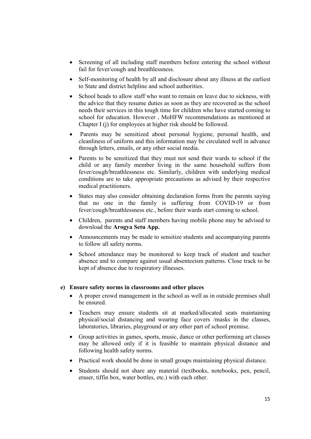- Screening of all including staff members before entering the school without fail for fever/cough and breathlessness.
- Self-monitoring of health by all and disclosure about any illness at the earliest to State and district helpline and school authorities.
- School heads to allow staff who want to remain on leave due to sickness, with the advice that they resume duties as soon as they are recovered as the school needs their services in this tough time for children who have started coming to school for education. However , MoHFW recommendations as mentioned at Chapter I (j) for employees at higher risk should be followed.
- Parents may be sensitized about personal hygiene, personal health, and cleanliness of uniform and this information may be circulated well in advance through letters, emails, or any other social media.
- Parents to be sensitized that they must not send their wards to school if the child or any family member living in the same household suffers from fever/cough/breathlessness etc. Similarly, children with underlying medical conditions are to take appropriate precautions as advised by their respective medical practitioners.
- States may also consider obtaining declaration forms from the parents saying that no one in the family is suffering from COVID-19 or from fever/cough/breathlessness etc., before their wards start coming to school.
- Children, parents and staff members having mobile phone may be advised to download the Arogya Setu App.
- Announcements may be made to sensitize students and accompanying parents to follow all safety norms.
- School attendance may be monitored to keep track of student and teacher absence and to compare against usual absenteeism patterns. Close track to be kept of absence due to respiratory illnesses.

## e) Ensure safety norms in classrooms and other places

- A proper crowd management in the school as well as in outside premises shall be ensured.
- Teachers may ensure students sit at marked/allocated seats maintaining physical/social distancing and wearing face covers /masks in the classes, laboratories, libraries, playground or any other part of school premise.
- Group activities in games, sports, music, dance or other performing art classes may be allowed only if it is feasible to maintain physical distance and following health safety norms.
- Practical work should be done in small groups maintaining physical distance.
- Students should not share any material (textbooks, notebooks, pen, pencil, eraser, tiffin box, water bottles, etc.) with each other.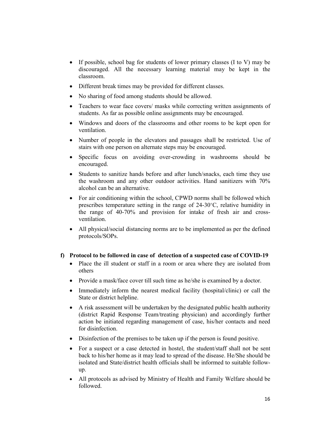- If possible, school bag for students of lower primary classes (I to V) may be discouraged. All the necessary learning material may be kept in the classroom.
- Different break times may be provided for different classes.
- No sharing of food among students should be allowed.
- Teachers to wear face covers/ masks while correcting written assignments of students. As far as possible online assignments may be encouraged.
- Windows and doors of the classrooms and other rooms to be kept open for ventilation.
- Number of people in the elevators and passages shall be restricted. Use of stairs with one person on alternate steps may be encouraged.
- Specific focus on avoiding over-crowding in washrooms should be encouraged.
- Students to sanitize hands before and after lunch/snacks, each time they use the washroom and any other outdoor activities. Hand sanitizers with 70% alcohol can be an alternative.
- For air conditioning within the school, CPWD norms shall be followed which prescribes temperature setting in the range of 24-30°C, relative humidity in the range of 40-70% and provision for intake of fresh air and crossventilation.
- All physical/social distancing norms are to be implemented as per the defined protocols/SOPs.

## f) Protocol to be followed in case of detection of a suspected case of COVID-19

- Place the ill student or staff in a room or area where they are isolated from others
- Provide a mask/face cover till such time as he/she is examined by a doctor.
- Immediately inform the nearest medical facility (hospital/clinic) or call the State or district helpline.
- A risk assessment will be undertaken by the designated public health authority (district Rapid Response Team/treating physician) and accordingly further action be initiated regarding management of case, his/her contacts and need for disinfection.
- Disinfection of the premises to be taken up if the person is found positive.
- For a suspect or a case detected in hostel, the student/staff shall not be sent back to his/her home as it may lead to spread of the disease. He/She should be isolated and State/district health officials shall be informed to suitable followup.
- All protocols as advised by Ministry of Health and Family Welfare should be followed.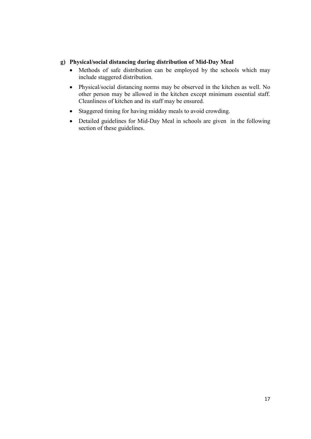# g) Physical/social distancing during distribution of Mid-Day Meal

- Methods of safe distribution can be employed by the schools which may include staggered distribution.
- Physical/social distancing norms may be observed in the kitchen as well. No other person may be allowed in the kitchen except minimum essential staff. Cleanliness of kitchen and its staff may be ensured.
- Staggered timing for having midday meals to avoid crowding.
- Detailed guidelines for Mid-Day Meal in schools are given in the following section of these guidelines.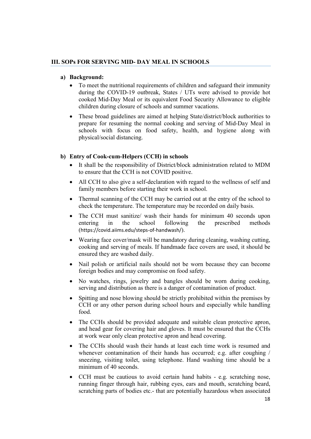# III. SOPs FOR SERVING MID- DAY MEAL IN SCHOOLS

### a) Background:

- To meet the nutritional requirements of children and safeguard their immunity during the COVID-19 outbreak, States / UTs were advised to provide hot cooked Mid-Day Meal or its equivalent Food Security Allowance to eligible children during closure of schools and summer vacations.
- These broad guidelines are aimed at helping State/district/block authorities to prepare for resuming the normal cooking and serving of Mid-Day Meal in schools with focus on food safety, health, and hygiene along with physical/social distancing.

## b) Entry of Cook-cum-Helpers (CCH) in schools

- It shall be the responsibility of District/block administration related to MDM to ensure that the CCH is not COVID positive.
- All CCH to also give a self-declaration with regard to the wellness of self and family members before starting their work in school.
- Thermal scanning of the CCH may be carried out at the entry of the school to check the temperature. The temperature may be recorded on daily basis.
- The CCH must sanitize/ wash their hands for minimum 40 seconds upon entering in the school following the prescribed methods (https://covid.aiims.edu/steps-of-handwash/).
- Wearing face cover/mask will be mandatory during cleaning, washing cutting, cooking and serving of meals. If handmade face covers are used, it should be ensured they are washed daily.
- Nail polish or artificial nails should not be worn because they can become foreign bodies and may compromise on food safety.
- No watches, rings, jewelry and bangles should be worn during cooking, serving and distribution as there is a danger of contamination of product.
- Spitting and nose blowing should be strictly prohibited within the premises by CCH or any other person during school hours and especially while handling food.
- The CCHs should be provided adequate and suitable clean protective apron, and head gear for covering hair and gloves. It must be ensured that the CCHs at work wear only clean protective apron and head covering.
- The CCHs should wash their hands at least each time work is resumed and whenever contamination of their hands has occurred; e.g. after coughing / sneezing, visiting toilet, using telephone. Hand washing time should be a minimum of 40 seconds.
- CCH must be cautious to avoid certain hand habits e.g. scratching nose, running finger through hair, rubbing eyes, ears and mouth, scratching beard, scratching parts of bodies etc.- that are potentially hazardous when associated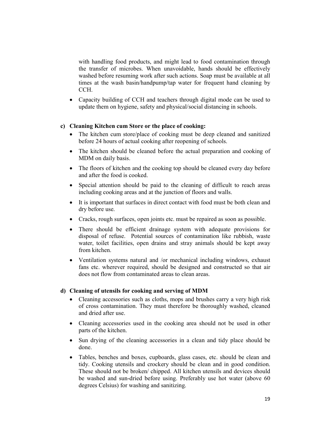with handling food products, and might lead to food contamination through the transfer of microbes. When unavoidable, hands should be effectively washed before resuming work after such actions. Soap must be available at all times at the wash basin/handpump/tap water for frequent hand cleaning by CCH.

 Capacity building of CCH and teachers through digital mode can be used to update them on hygiene, safety and physical/social distancing in schools.

#### c) Cleaning Kitchen cum Store or the place of cooking:

- The kitchen cum store/place of cooking must be deep cleaned and sanitized before 24 hours of actual cooking after reopening of schools.
- The kitchen should be cleaned before the actual preparation and cooking of MDM on daily basis.
- The floors of kitchen and the cooking top should be cleaned every day before and after the food is cooked.
- Special attention should be paid to the cleaning of difficult to reach areas including cooking areas and at the junction of floors and walls.
- It is important that surfaces in direct contact with food must be both clean and dry before use.
- Cracks, rough surfaces, open joints etc. must be repaired as soon as possible.
- There should be efficient drainage system with adequate provisions for disposal of refuse. Potential sources of contamination like rubbish, waste water, toilet facilities, open drains and stray animals should be kept away from kitchen.
- Ventilation systems natural and /or mechanical including windows, exhaust fans etc. wherever required, should be designed and constructed so that air does not flow from contaminated areas to clean areas.

#### d) Cleaning of utensils for cooking and serving of MDM

- Cleaning accessories such as cloths, mops and brushes carry a very high risk of cross contamination. They must therefore be thoroughly washed, cleaned and dried after use.
- Cleaning accessories used in the cooking area should not be used in other parts of the kitchen.
- Sun drying of the cleaning accessories in a clean and tidy place should be done.
- Tables, benches and boxes, cupboards, glass cases, etc. should be clean and tidy. Cooking utensils and crockery should be clean and in good condition. These should not be broken/ chipped. All kitchen utensils and devices should be washed and sun-dried before using. Preferably use hot water (above 60 degrees Celsius) for washing and sanitizing.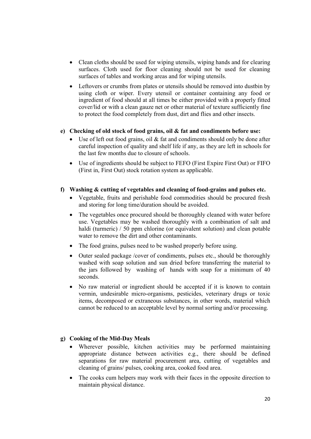- Clean cloths should be used for wiping utensils, wiping hands and for clearing surfaces. Cloth used for floor cleaning should not be used for cleaning surfaces of tables and working areas and for wiping utensils.
- Leftovers or crumbs from plates or utensils should be removed into dustbin by using cloth or wiper. Every utensil or container containing any food or ingredient of food should at all times be either provided with a properly fitted cover/lid or with a clean gauze net or other material of texture sufficiently fine to protect the food completely from dust, dirt and flies and other insects.

## e) Checking of old stock of food grains, oil & fat and condiments before use:

- Use of left out food grains, oil & fat and condiments should only be done after careful inspection of quality and shelf life if any, as they are left in schools for the last few months due to closure of schools.
- Use of ingredients should be subject to FEFO (First Expire First Out) or FIFO (First in, First Out) stock rotation system as applicable.

## f) Washing & cutting of vegetables and cleaning of food-grains and pulses etc.

- Vegetable, fruits and perishable food commodities should be procured fresh and storing for long time/duration should be avoided.
- The vegetables once procured should be thoroughly cleaned with water before use. Vegetables may be washed thoroughly with a combination of salt and haldi (turmeric) / 50 ppm chlorine (or equivalent solution) and clean potable water to remove the dirt and other contaminants.
- The food grains, pulses need to be washed properly before using.
- Outer sealed package /cover of condiments, pulses etc., should be thoroughly washed with soap solution and sun dried before transferring the material to the jars followed by washing of hands with soap for a minimum of 40 seconds.
- No raw material or ingredient should be accepted if it is known to contain vermin, undesirable micro-organisms, pesticides, veterinary drugs or toxic items, decomposed or extraneous substances, in other words, material which cannot be reduced to an acceptable level by normal sorting and/or processing.

#### g) Cooking of the Mid-Day Meals

- Wherever possible, kitchen activities may be performed maintaining appropriate distance between activities e.g., there should be defined separations for raw material procurement area, cutting of vegetables and cleaning of grains/ pulses, cooking area, cooked food area.
- The cooks cum helpers may work with their faces in the opposite direction to maintain physical distance.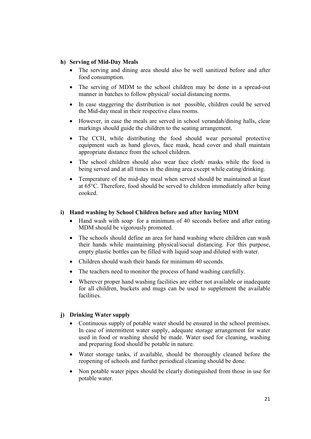# h) Serving of Mid-Day Meals

- The serving and dining area should also be well sanitized before and after food consumption.
- The serving of MDM to the school children may be done in a spread-out manner in batches to follow physical/ social distancing norms.
- In case staggering the distribution is not possible, children could be served the Mid-day meal in their respective class rooms.
- However, in case the meals are served in school verandah/dining halls, clear markings should guide the children to the seating arrangement.
- The CCH, while distributing the food should wear personal protective equipment such as hand gloves, face mask, head cover and shall maintain appropriate distance from the school children.
- The school children should also wear face cloth/ masks while the food is being served and at all times in the dining area except while eating/drinking.
- Temperature of the mid-day meal when served should be maintained at least at 65°C. Therefore, food should be served to children immediately after being cooked.

# i) Hand washing by School Children before and after having MDM

- Hand wash with soap for a minimum of 40 seconds before and after eating MDM should be vigorously promoted.
- The schools should define an area for hand washing where children can wash their hands while maintaining physical/social distancing. For this purpose, empty plastic bottles can be filled with liquid soap and diluted with water.
- Children should wash their hands for minimum 40 seconds.
- The teachers need to monitor the process of hand washing carefully.
- Wherever proper hand washing facilities are either not available or inadequate for all children, buckets and mugs can be used to supplement the available facilities.

# j) Drinking Water supply

- Continuous supply of potable water should be ensured in the school premises. In case of intermittent water supply, adequate storage arrangement for water used in food or washing should be made. Water used for cleaning, washing and preparing food should be potable in nature.
- Water storage tanks, if available, should be thoroughly cleaned before the reopening of schools and further periodical cleaning should be done.
- Non potable water pipes should be clearly distinguished from those in use for potable water.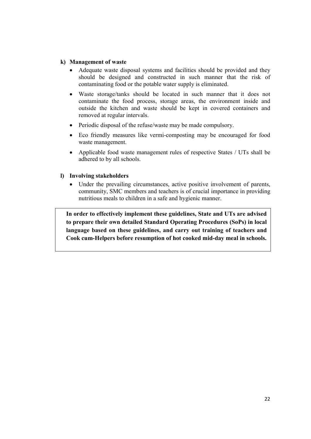### k) Management of waste

- Adequate waste disposal systems and facilities should be provided and they should be designed and constructed in such manner that the risk of contaminating food or the potable water supply is eliminated.
- Waste storage/tanks should be located in such manner that it does not contaminate the food process, storage areas, the environment inside and outside the kitchen and waste should be kept in covered containers and removed at regular intervals.
- Periodic disposal of the refuse/waste may be made compulsory.
- Eco friendly measures like vermi-composting may be encouraged for food waste management.
- Applicable food waste management rules of respective States / UTs shall be adhered to by all schools.

#### l) Involving stakeholders

 Under the prevailing circumstances, active positive involvement of parents, community, SMC members and teachers is of crucial importance in providing nutritious meals to children in a safe and hygienic manner.

In order to effectively implement these guidelines, State and UTs are advised to prepare their own detailed Standard Operating Procedures (SoPs) in local language based on these guidelines, and carry out training of teachers and Cook cum-Helpers before resumption of hot cooked mid-day meal in schools.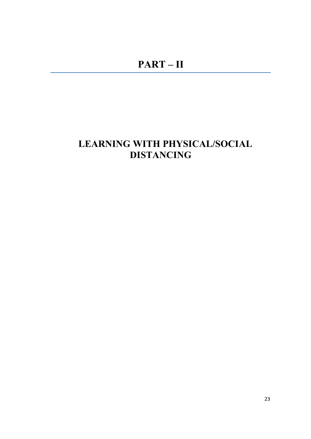# LEARNING WITH PHYSICAL/SOCIAL DISTANCING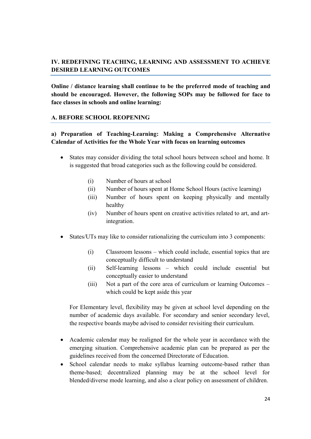# IV. REDEFINING TEACHING, LEARNING AND ASSESSMENT TO ACHIEVE DESIRED LEARNING OUTCOMES

Online / distance learning shall continue to be the preferred mode of teaching and should be encouraged. However, the following SOPs may be followed for face to face classes in schools and online learning:

## A. BEFORE SCHOOL REOPENING

# a) Preparation of Teaching-Learning: Making a Comprehensive Alternative Calendar of Activities for the Whole Year with focus on learning outcomes

- States may consider dividing the total school hours between school and home. It is suggested that broad categories such as the following could be considered.
	- (i) Number of hours at school
	- (ii) Number of hours spent at Home School Hours (active learning)
	- (iii) Number of hours spent on keeping physically and mentally healthy
	- (iv) Number of hours spent on creative activities related to art, and artintegration.
- States/UTs may like to consider rationalizing the curriculum into 3 components:
	- (i) Classroom lessons which could include, essential topics that are conceptually difficult to understand
	- (ii) Self-learning lessons which could include essential but conceptually easier to understand
	- (iii) Not a part of the core area of curriculum or learning Outcomes which could be kept aside this year

For Elementary level, flexibility may be given at school level depending on the number of academic days available. For secondary and senior secondary level, the respective boards maybe advised to consider revisiting their curriculum.

- Academic calendar may be realigned for the whole year in accordance with the emerging situation. Comprehensive academic plan can be prepared as per the guidelines received from the concerned Directorate of Education.
- School calendar needs to make syllabus learning outcome-based rather than theme-based; decentralized planning may be at the school level for blended/diverse mode learning, and also a clear policy on assessment of children.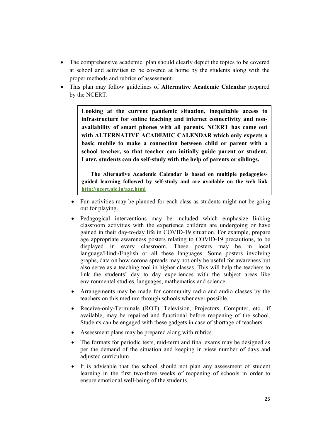- The comprehensive academic plan should clearly depict the topics to be covered at school and activities to be covered at home by the students along with the proper methods and rubrics of assessment.
- This plan may follow guidelines of Alternative Academic Calendar prepared by the NCERT.

Looking at the current pandemic situation, inequitable access to infrastructure for online teaching and internet connectivity and nonavailability of smart phones with all parents, NCERT has come out with ALTERNATIVE ACADEMIC CALENDAR which only expects a basic mobile to make a connection between child or parent with a school teacher, so that teacher can initially guide parent or student. Later, students can do self-study with the help of parents or siblings.

The Alternative Academic Calendar is based on multiple pedagogiesguided learning followed by self-study and are available on the web link http://ncert.nic.in/aac.html

- Fun activities may be planned for each class as students might not be going out for playing.
- Pedagogical interventions may be included which emphasize linking classroom activities with the experience children are undergoing or have gained in their day-to-day life in COVID-19 situation. For example, prepare age appropriate awareness posters relating to COVID-19 precautions, to be displayed in every classroom. These posters may be in local language/Hindi/English or all these languages. Some posters involving graphs, data on how corona spreads may not only be useful for awareness but also serve as a teaching tool in higher classes. This will help the teachers to link the students' day to day experiences with the subject areas like environmental studies, languages, mathematics and science.
- Arrangements may be made for community radio and audio classes by the teachers on this medium through schools whenever possible.
- Receive-only-Terminals (ROT), Television, Projectors, Computer, etc., if available, may be repaired and functional before reopening of the school. Students can be engaged with these gadgets in case of shortage of teachers.
- Assessment plans may be prepared along with rubrics.
- The formats for periodic tests, mid-term and final exams may be designed as per the demand of the situation and keeping in view number of days and adjusted curriculum.
- It is advisable that the school should not plan any assessment of student learning in the first two-three weeks of reopening of schools in order to ensure emotional well-being of the students.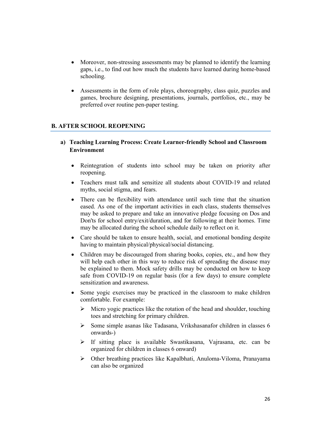- Moreover, non-stressing assessments may be planned to identify the learning gaps, i.e., to find out how much the students have learned during home-based schooling.
- Assessments in the form of role plays, choreography, class quiz, puzzles and games, brochure designing, presentations, journals, portfolios, etc., may be preferred over routine pen-paper testing.

# B. AFTER SCHOOL REOPENING

- a) Teaching Learning Process: Create Learner-friendly School and Classroom Environment
	- Reintegration of students into school may be taken on priority after reopening.
	- Teachers must talk and sensitize all students about COVID-19 and related myths, social stigma, and fears.
	- There can be flexibility with attendance until such time that the situation eased. As one of the important activities in each class, students themselves may be asked to prepare and take an innovative pledge focusing on Dos and Don'ts for school entry/exit/duration, and for following at their homes. Time may be allocated during the school schedule daily to reflect on it.
	- Care should be taken to ensure health, social, and emotional bonding despite having to maintain physical/physical/social distancing.
	- Children may be discouraged from sharing books, copies, etc., and how they will help each other in this way to reduce risk of spreading the disease may be explained to them. Mock safety drills may be conducted on how to keep safe from COVID-19 on regular basis (for a few days) to ensure complete sensitization and awareness.
	- Some yogic exercises may be practiced in the classroom to make children comfortable. For example:
		- $\triangleright$  Micro yogic practices like the rotation of the head and shoulder, touching toes and stretching for primary children.
		- $\triangleright$  Some simple asanas like Tadasana, Vrikshasanafor children in classes 6 onwards-)
		- $\triangleright$  If sitting place is available Swastikasana, Vajrasana, etc. can be organized for children in classes 6 onward)
		- $\triangleright$  Other breathing practices like Kapalbhati, Anuloma-Viloma, Pranayama can also be organized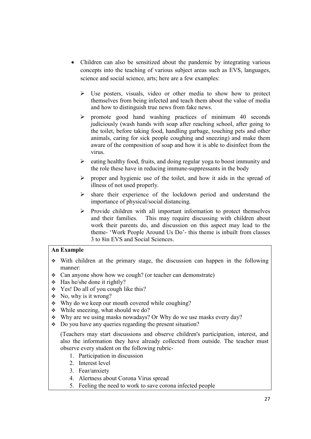- Children can also be sensitized about the pandemic by integrating various concepts into the teaching of various subject areas such as EVS, languages, science and social science, arts; here are a few examples:
	- $\triangleright$  Use posters, visuals, video or other media to show how to protect themselves from being infected and teach them about the value of media and how to distinguish true news from fake news.
	- $\triangleright$  promote good hand washing practices of minimum 40 seconds judiciously (wash hands with soap after reaching school, after going to the toilet, before taking food, handling garbage, touching pets and other animals, caring for sick people coughing and sneezing) and make them aware of the composition of soap and how it is able to disinfect from the virus.
	- $\triangleright$  eating healthy food, fruits, and doing regular yoga to boost immunity and the role these have in reducing immune-suppressants in the body
	- $\triangleright$  proper and hygienic use of the toilet, and how it aids in the spread of illness of not used properly.
	- $\triangleright$  share their experience of the lockdown period and understand the importance of physical/social distancing.
	- $\triangleright$  Provide children with all important information to protect themselves and their families. This may require discussing with children about work their parents do, and discussion on this aspect may lead to the theme- 'Work People Around Us Do'- this theme is inbuilt from classes 3 to 8in EVS and Social Sciences.

## An Example

- With children at the primary stage, the discussion can happen in the following manner:
- Can anyone show how we cough? (or teacher can demonstrate)
- $\div$  Has he/she done it rightly?
- Yes! Do all of you cough like this?
- $\bullet$  No, why is it wrong?
- Why do we keep our mouth covered while coughing?
- $\div$  While sneezing, what should we do?
- Why are we using masks nowadays? Or Why do we use masks every day?
- $\bullet$  Do you have any queries regarding the present situation?

(Teachers may start discussions and observe children's participation, interest, and also the information they have already collected from outside. The teacher must observe every student on the following rubric-

- 1. Participation in discussion
- 2. Interest level
- 3. Fear/anxiety
- 4. Alertness about Corona Virus spread
- 5. Feeling the need to work to save corona infected people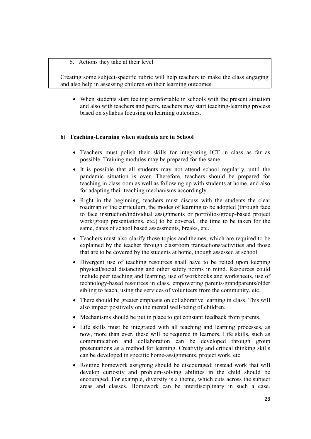#### 6. Actions they take at their level

Creating some subject-specific rubric will help teachers to make the class engaging and also help in assessing children on their learning outcomes

 When students start feeling comfortable in schools with the present situation and also with teachers and peers, teachers may start teaching-learning process based on syllabus focusing on learning outcomes.

#### b) Teaching-Learning when students are in School

- Teachers must polish their skills for integrating ICT in class as far as possible. Training modules may be prepared for the same.
- It is possible that all students may not attend school regularly, until the pandemic situation is over. Therefore, teachers should be prepared for teaching in classroom as well as following up with students at home, and also for adapting their teaching mechanisms accordingly.
- Right in the beginning, teachers must discuss with the students the clear roadmap of the curriculum, the modes of learning to be adopted (through face to face instruction/individual assignments or portfolios/group-based project work/group presentations, etc.) to be covered, the time to be taken for the same, dates of school based assessments, breaks, etc.
- Teachers must also clarify those topics and themes, which are required to be explained by the teacher through classroom transactions/activities and those that are to be covered by the students at home, though assessed at school.
- Divergent use of teaching resources shall have to be relied upon keeping physical/social distancing and other safety norms in mind. Resources could include peer teaching and learning, use of workbooks and worksheets, use of technology-based resources in class, empowering parents/grandparents/older sibling to teach, using the services of volunteers from the community, etc.
- There should be greater emphasis on collaborative learning in class. This will also impact positively on the mental well-being of children.
- Mechanisms should be put in place to get constant feedback from parents.
- Life skills must be integrated with all teaching and learning processes, as now, more than ever, these will be required in learners. Life skills, such as communication and collaboration can be developed through group presentations as a method for learning. Creativity and critical thinking skills can be developed in specific home-assignments, project work, etc.
- Routine homework assigning should be discouraged; instead work that will develop curiosity and problem-solving abilities in the child should be encouraged. For example, diversity is a theme, which cuts across the subject areas and classes. Homework can be interdisciplinary in such a case.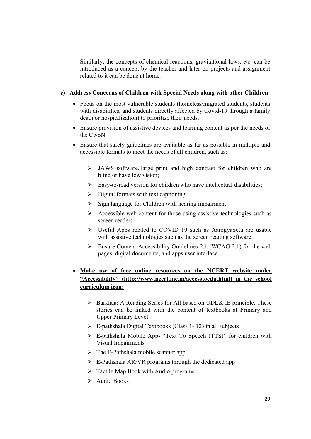Similarly, the concepts of chemical reactions, gravitational laws, etc. can be introduced as a concept by the teacher and later on projects and assignment related to it can be done at home.

## c) Address Concerns of Children with Special Needs along with other Children

- Focus on the most vulnerable students (homeless/migrated students, students with disabilities, and students directly affected by Covid-19 through a family death or hospitalization) to prioritize their needs.
- Ensure provision of assistive devices and learning content as per the needs of the CwSN.
- Ensure that safety guidelines are available as far as possible in multiple and accessible formats to meet the needs of all children, such as:
	- JAWS software, large print and high contrast for children who are blind or have low vision;
	- $\triangleright$  Easy-to-read version for children who have intellectual disabilities;
	- $\triangleright$  Digital formats with text captioning
	- $\triangleright$  Sign language for Children with hearing impairment
	- $\triangleright$  Accessible web content for those using assistive technologies such as screen readers
	- Useful Apps related to COVID 19 such as AarogyaSetu are usable with assistive technologies such as the screen reading software.
	- $\triangleright$  Ensure Content Accessibility Guidelines 2.1 (WCAG 2.1) for the web pages, digital documents, and apps user interface.

# Make use of free online resources on the NCERT website under "Accessibility" (http://www.ncert.nic.in/accesstoedu.html) in the school curriculum icon:

- $\triangleright$  Barkhaa: A Reading Series for All based on UDL& IE principle. These stories can be linked with the content of textbooks at Primary and Upper Primary Level
- $\triangleright$  E-pathshala Digital Textbooks (Class 1-12) in all subjects
- E-pathshala Mobile App- "Text To Speech (TTS)" for children with Visual Impairments
- $\triangleright$  The E-Pathshala mobile scanner app
- $\triangleright$  E-Pathshala AR/VR programs through the dedicated app
- $\triangleright$  Tactile Map Book with Audio programs
- $\blacktriangleright$  Audio Books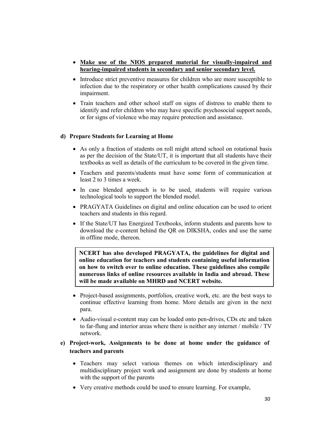- Make use of the NIOS prepared material for visually-impaired and hearing-impaired students in secondary and senior secondary level.
- Introduce strict preventive measures for children who are more susceptible to infection due to the respiratory or other health complications caused by their impairment.
- Train teachers and other school staff on signs of distress to enable them to identify and refer children who may have specific psychosocial support needs, or for signs of violence who may require protection and assistance.

# d) Prepare Students for Learning at Home

- As only a fraction of students on roll might attend school on rotational basis as per the decision of the State/UT, it is important that all students have their textbooks as well as details of the curriculum to be covered in the given time.
- Teachers and parents/students must have some form of communication at least 2 to 3 times a week.
- In case blended approach is to be used, students will require various technological tools to support the blended model.
- PRAGYATA Guidelines on digital and online education can be used to orient teachers and students in this regard.
- If the State/UT has Energized Textbooks, inform students and parents how to download the e-content behind the QR on DIKSHA, codes and use the same in offline mode, thereon.

NCERT has also developed PRAGYATA, the guidelines for digital and online education for teachers and students containing useful information on how to switch over to online education. These guidelines also compile numerous links of online resources available in India and abroad. These will be made available on MHRD and NCERT website.

- Project-based assignments, portfolios, creative work, etc. are the best ways to continue effective learning from home. More details are given in the next para.
- Audio-visual e-content may can be loaded onto pen-drives, CDs etc and taken to far-flung and interior areas where there is neither any internet / mobile / TV network.

# e) Project-work, Assignments to be done at home under the guidance of teachers and parents

- Teachers may select various themes on which interdisciplinary and multidisciplinary project work and assignment are done by students at home with the support of the parents
- Very creative methods could be used to ensure learning. For example,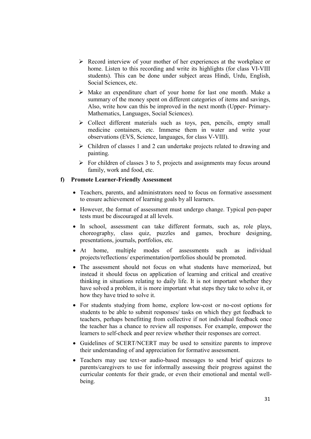- Record interview of your mother of her experiences at the workplace or home. Listen to this recording and write its highlights (for class VI-VIII students). This can be done under subject areas Hindi, Urdu, English, Social Sciences, etc.
- Make an expenditure chart of your home for last one month. Make a summary of the money spent on different categories of items and savings, Also, write how can this be improved in the next month (Upper- Primary-Mathematics, Languages, Social Sciences).
- $\triangleright$  Collect different materials such as toys, pen, pencils, empty small medicine containers, etc. Immerse them in water and write your observations (EVS, Science, languages, for class V-VIII).
- $\triangleright$  Children of classes 1 and 2 can undertake projects related to drawing and painting.
- $\triangleright$  For children of classes 3 to 5, projects and assignments may focus around family, work and food, etc.

#### f) Promote Learner-Friendly Assessment

- Teachers, parents, and administrators need to focus on formative assessment to ensure achievement of learning goals by all learners.
- However, the format of assessment must undergo change. Typical pen-paper tests must be discouraged at all levels.
- In school, assessment can take different formats, such as, role plays, choreography, class quiz, puzzles and games, brochure designing, presentations, journals, portfolios, etc.
- At home, multiple modes of assessments such as individual projects/reflections/ experimentation/portfolios should be promoted.
- The assessment should not focus on what students have memorized, but instead it should focus on application of learning and critical and creative thinking in situations relating to daily life. It is not important whether they have solved a problem, it is more important what steps they take to solve it, or how they have tried to solve it.
- For students studying from home, explore low-cost or no-cost options for students to be able to submit responses/ tasks on which they get feedback to teachers, perhaps benefitting from collective if not individual feedback once the teacher has a chance to review all responses. For example, empower the learners to self-check and peer review whether their responses are correct.
- Guidelines of SCERT/NCERT may be used to sensitize parents to improve their understanding of and appreciation for formative assessment.
- Teachers may use text-or audio-based messages to send brief quizzes to parents/caregivers to use for informally assessing their progress against the curricular contents for their grade, or even their emotional and mental wellbeing.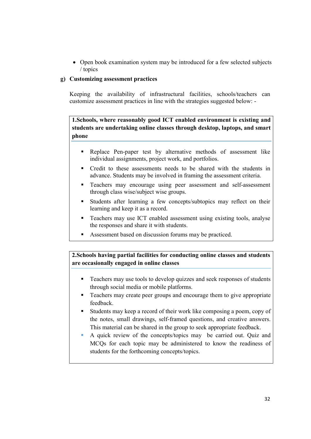• Open book examination system may be introduced for a few selected subjects / topics

# g) Customizing assessment practices

Keeping the availability of infrastructural facilities, schools/teachers can customize assessment practices in line with the strategies suggested below: -

1.Schools, where reasonably good ICT enabled environment is existing and students are undertaking online classes through desktop, laptops, and smart phone

- Replace Pen-paper test by alternative methods of assessment like individual assignments, project work, and portfolios.
- Credit to these assessments needs to be shared with the students in advance. Students may be involved in framing the assessment criteria.
- **Teachers may encourage using peer assessment and self-assessment** through class wise/subject wise groups.
- Students after learning a few concepts/subtopics may reflect on their learning and keep it as a record.
- Teachers may use ICT enabled assessment using existing tools, analyse the responses and share it with students.
- Assessment based on discussion forums may be practiced.

2.Schools having partial facilities for conducting online classes and students are occasionally engaged in online classes

- Teachers may use tools to develop quizzes and seek responses of students through social media or mobile platforms.
- Teachers may create peer groups and encourage them to give appropriate feedback.
- Students may keep a record of their work like composing a poem, copy of the notes, small drawings, self-framed questions, and creative answers. This material can be shared in the group to seek appropriate feedback.
- A quick review of the concepts/topics may be carried out. Quiz and MCQs for each topic may be administered to know the readiness of students for the forthcoming concepts/topics.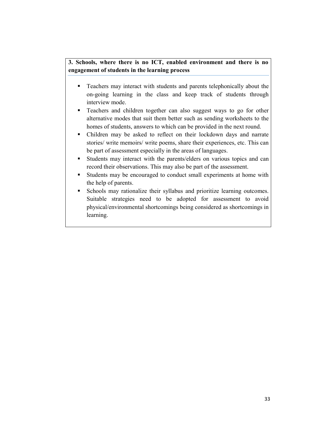# 3. Schools, where there is no ICT, enabled environment and there is no engagement of students in the learning process

- **Teachers may interact with students and parents telephonically about the** on-going learning in the class and keep track of students through interview mode.
- Teachers and children together can also suggest ways to go for other alternative modes that suit them better such as sending worksheets to the homes of students, answers to which can be provided in the next round.
- Children may be asked to reflect on their lockdown days and narrate stories/ write memoirs/ write poems, share their experiences, etc. This can be part of assessment especially in the areas of languages.
- Students may interact with the parents/elders on various topics and can record their observations. This may also be part of the assessment.
- Students may be encouraged to conduct small experiments at home with the help of parents.
- Schools may rationalize their syllabus and prioritize learning outcomes. Suitable strategies need to be adopted for assessment to avoid physical/environmental shortcomings being considered as shortcomings in learning.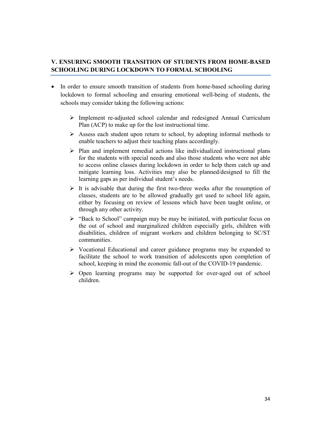# V. ENSURING SMOOTH TRANSITION OF STUDENTS FROM HOME-BASED SCHOOLING DURING LOCKDOWN TO FORMAL SCHOOLING

- In order to ensure smooth transition of students from home-based schooling during lockdown to formal schooling and ensuring emotional well-being of students, the schools may consider taking the following actions:
	- Implement re-adjusted school calendar and redesigned Annual Curriculum Plan (ACP) to make up for the lost instructional time.
	- $\triangleright$  Assess each student upon return to school, by adopting informal methods to enable teachers to adjust their teaching plans accordingly.
	- $\triangleright$  Plan and implement remedial actions like individualized instructional plans for the students with special needs and also those students who were not able to access online classes during lockdown in order to help them catch up and mitigate learning loss. Activities may also be planned/designed to fill the learning gaps as per individual student's needs.
	- $\triangleright$  It is advisable that during the first two-three weeks after the resumption of classes, students are to be allowed gradually get used to school life again, either by focusing on review of lessons which have been taught online, or through any other activity.
	- $\triangleright$  "Back to School" campaign may be may be initiated, with particular focus on the out of school and marginalized children especially girls, children with disabilities, children of migrant workers and children belonging to SC/ST communities.
	- Vocational Educational and career guidance programs may be expanded to facilitate the school to work transition of adolescents upon completion of school, keeping in mind the economic fall-out of the COVID-19 pandemic.
	- $\triangleright$  Open learning programs may be supported for over-aged out of school children.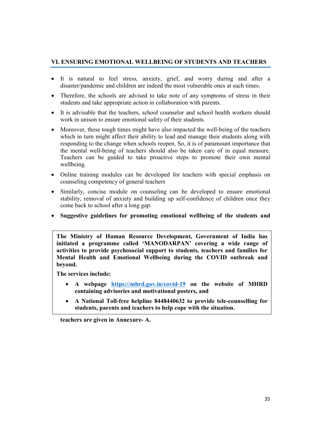# VI. ENSURING EMOTIONAL WELLBEING OF STUDENTS AND TEACHERS

- It is natural to feel stress, anxiety, grief, and worry during and after a disaster/pandemic and children are indeed the most vulnerable ones at such times.
- Therefore, the schools are advised to take note of any symptoms of stress in their students and take appropriate action in collaboration with parents.
- It is advisable that the teachers, school counselor and school health workers should work in unison to ensure emotional safety of their students.
- Moreover, these tough times might have also impacted the well-being of the teachers which in turn might affect their ability to lead and manage their students along with responding to the change when schools reopen. So, it is of paramount importance that the mental well-being of teachers should also be taken care of in equal measure. Teachers can be guided to take proactive steps to promote their own mental wellbeing.
- Online training modules can be developed for teachers with special emphasis on counseling competency of general teachers
- Similarly, concise module on counseling can be developed to ensure emotional stability, removal of anxiety and building up self-confidence of children once they come back to school after a long gap.
- Suggestive guidelines for promoting emotional wellbeing of the students and

The Ministry of Human Resource Development, Government of India has initiated a programme called 'MANODARPAN' covering a wide range of activities to provide psychosocial support to students, teachers and families for Mental Health and Emotional Wellbeing during the COVID outbreak and beyond.

The services include:

- A webpage https://mhrd.gov.in/covid-19 on the website of MHRD containing advisories and motivational posters, and
- A National Toll-free helpline 8448440632 to provide tele-counselling for students, parents and teachers to help cope with the situation.

teachers are given in Annexure- A.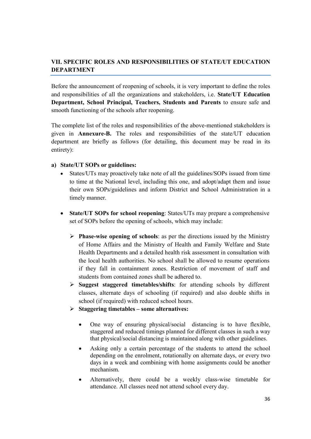# VII. SPECIFIC ROLES AND RESPONSIBILITIES OF STATE/UT EDUCATION DEPARTMENT

Before the announcement of reopening of schools, it is very important to define the roles and responsibilities of all the organizations and stakeholders, i.e. State/UT Education Department, School Principal, Teachers, Students and Parents to ensure safe and smooth functioning of the schools after reopening.

The complete list of the roles and responsibilities of the above-mentioned stakeholders is given in Annexure-B. The roles and responsibilities of the state/UT education department are briefly as follows (for detailing, this document may be read in its entirety):

## a) State/UT SOPs or guidelines:

- States/UTs may proactively take note of all the guidelines/SOPs issued from time to time at the National level, including this one, and adopt/adapt them and issue their own SOPs/guidelines and inform District and School Administration in a timely manner.
- State/UT SOPs for school reopening: States/UTs may prepare a comprehensive set of SOPs before the opening of schools, which may include:
	- $\triangleright$  Phase-wise opening of schools: as per the directions issued by the Ministry of Home Affairs and the Ministry of Health and Family Welfare and State Health Departments and a detailed health risk assessment in consultation with the local health authorities. No school shall be allowed to resume operations if they fall in containment zones. Restriction of movement of staff and students from contained zones shall be adhered to.
	- $\triangleright$  Suggest staggered timetables/shifts: for attending schools by different classes, alternate days of schooling (if required) and also double shifts in school (if required) with reduced school hours.
	- $\triangleright$  Staggering timetables some alternatives:
		- One way of ensuring physical/social distancing is to have flexible, staggered and reduced timings planned for different classes in such a way that physical/social distancing is maintained along with other guidelines.
		- Asking only a certain percentage of the students to attend the school depending on the enrolment, rotationally on alternate days, or every two days in a week and combining with home assignments could be another mechanism.
		- Alternatively, there could be a weekly class-wise timetable for attendance. All classes need not attend school every day.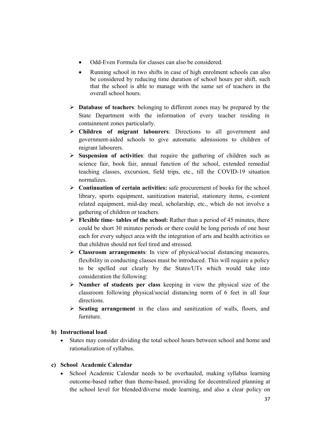- Odd-Even Formula for classes can also be considered.
- Running school in two shifts in case of high enrolment schools can also be considered by reducing time duration of school hours per shift, such that the school is able to manage with the same set of teachers in the overall school hours.
- $\triangleright$  **Database of teachers**: belonging to different zones may be prepared by the State Department with the information of every teacher residing in containment zones particularly.
- Children of migrant labourers: Directions to all government and government-aided schools to give automatic admissions to children of migrant labourers.
- $\triangleright$  Suspension of activities: that require the gathering of children such as science fair, book fair, annual function of the school, extended remedial teaching classes, excursion, field trips, etc., till the COVID-19 situation normalizes.
- $\triangleright$  Continuation of certain activities: safe procurement of books for the school library, sports equipment, sanitization material, stationery items, e-content related equipment, mid-day meal, scholarship, etc., which do not involve a gathering of children or teachers.
- $\triangleright$  Flexible time- tables of the school: Rather than a period of 45 minutes, there could be short 30 minutes periods or there could be long periods of one hour each for every subject area with the integration of arts and health activities so that children should not feel tired and stressed.
- $\triangleright$  Classroom arrangements: In view of physical/social distancing measures, flexibility in conducting classes must be introduced. This will require a policy to be spelled out clearly by the States/UTs which would take into consideration the following:
- $\triangleright$  Number of students per class keeping in view the physical size of the classroom following physical/social distancing norm of 6 feet in all four directions.
- $\triangleright$  Seating arrangement in the class and sanitization of walls, floors, and furniture.

# b) Instructional load

 States may consider dividing the total school hours between school and home and rationalization of syllabus.

# c) School Academic Calendar

 School Academic Calendar needs to be overhauled, making syllabus learning outcome-based rather than theme-based, providing for decentralized planning at the school level for blended/diverse mode learning, and also a clear policy on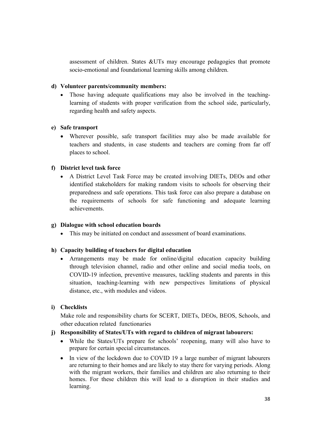assessment of children. States &UTs may encourage pedagogies that promote socio-emotional and foundational learning skills among children.

# d) Volunteer parents/community members:

 Those having adequate qualifications may also be involved in the teachinglearning of students with proper verification from the school side, particularly, regarding health and safety aspects.

# e) Safe transport

 Wherever possible, safe transport facilities may also be made available for teachers and students, in case students and teachers are coming from far off places to school.

# f) District level task force

 A District Level Task Force may be created involving DIETs, DEOs and other identified stakeholders for making random visits to schools for observing their preparedness and safe operations. This task force can also prepare a database on the requirements of schools for safe functioning and adequate learning achievements.

# g) Dialogue with school education boards

This may be initiated on conduct and assessment of board examinations.

# h) Capacity building of teachers for digital education

 Arrangements may be made for online/digital education capacity building through television channel, radio and other online and social media tools, on COVID-19 infection, preventive measures, tackling students and parents in this situation, teaching-learning with new perspectives limitations of physical distance, etc., with modules and videos.

# i) Checklists

Make role and responsibility charts for SCERT, DIETs, DEOs, BEOS, Schools, and other education related functionaries

# j) Responsibility of States/UTs with regard to children of migrant labourers:

- While the States/UTs prepare for schools' reopening, many will also have to prepare for certain special circumstances.
- In view of the lockdown due to COVID 19 a large number of migrant labourers are returning to their homes and are likely to stay there for varying periods. Along with the migrant workers, their families and children are also returning to their homes. For these children this will lead to a disruption in their studies and learning.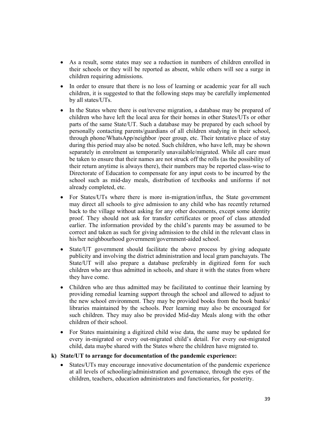- As a result, some states may see a reduction in numbers of children enrolled in their schools or they will be reported as absent, while others will see a surge in children requiring admissions.
- In order to ensure that there is no loss of learning or academic year for all such children, it is suggested to that the following steps may be carefully implemented by all states/UTs.
- In the States where there is out/reverse migration, a database may be prepared of children who have left the local area for their homes in other States/UTs or other parts of the same State/UT. Such a database may be prepared by each school by personally contacting parents/guardians of all children studying in their school, through phone/WhatsApp/neighbor /peer group, etc. Their tentative place of stay during this period may also be noted. Such children, who have left, may be shown separately in enrolment as temporarily unavailable/migrated. While all care must be taken to ensure that their names are not struck off the rolls (as the possibility of their return anytime is always there), their numbers may be reported class-wise to Directorate of Education to compensate for any input costs to be incurred by the school such as mid-day meals, distribution of textbooks and uniforms if not already completed, etc.
- For States/UTs where there is more in-migration/influx, the State government may direct all schools to give admission to any child who has recently returned back to the village without asking for any other documents, except some identity proof. They should not ask for transfer certificates or proof of class attended earlier. The information provided by the child's parents may be assumed to be correct and taken as such for giving admission to the child in the relevant class in his/her neighbourhood government/government-aided school.
- State/UT government should facilitate the above process by giving adequate publicity and involving the district administration and local gram panchayats. The State/UT will also prepare a database preferably in digitized form for such children who are thus admitted in schools, and share it with the states from where they have come.
- Children who are thus admitted may be facilitated to continue their learning by providing remedial learning support through the school and allowed to adjust to the new school environment. They may be provided books from the book banks/ libraries maintained by the schools. Peer learning may also be encouraged for such children. They may also be provided Mid-day Meals along with the other children of their school.
- For States maintaining a digitized child wise data, the same may be updated for every in-migrated or every out-migrated child's detail. For every out-migrated child, data maybe shared with the States where the children have migrated to.

#### k) State/UT to arrange for documentation of the pandemic experience:

 States/UTs may encourage innovative documentation of the pandemic experience at all levels of schooling/administration and governance, through the eyes of the children, teachers, education administrators and functionaries, for posterity.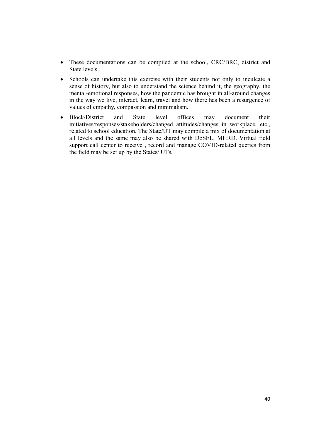- These documentations can be compiled at the school, CRC/BRC, district and State levels.
- Schools can undertake this exercise with their students not only to inculcate a sense of history, but also to understand the science behind it, the geography, the mental-emotional responses, how the pandemic has brought in all-around changes in the way we live, interact, learn, travel and how there has been a resurgence of values of empathy, compassion and minimalism.
- Block/District and State level offices may document their initiatives/responses/stakeholders/changed attitudes/changes in workplace, etc., related to school education. The State/UT may compile a mix of documentation at all levels and the same may also be shared with DoSEL, MHRD. Virtual field support call center to receive , record and manage COVID-related queries from the field may be set up by the States/ UTs.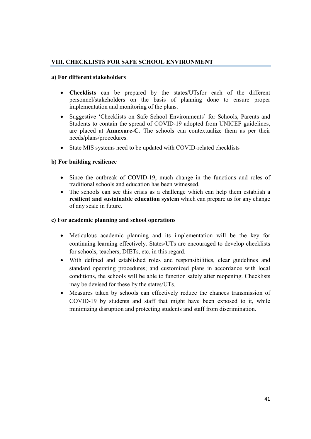# VIII. CHECKLISTS FOR SAFE SCHOOL ENVIRONMENT

## a) For different stakeholders

- Checklists can be prepared by the states/UTsfor each of the different personnel/stakeholders on the basis of planning done to ensure proper implementation and monitoring of the plans.
- Suggestive 'Checklists on Safe School Environments' for Schools, Parents and Students to contain the spread of COVID-19 adopted from UNICEF guidelines, are placed at Annexure-C. The schools can contextualize them as per their needs/plans/procedures.
- State MIS systems need to be updated with COVID-related checklists

# b) For building resilience

- Since the outbreak of COVID-19, much change in the functions and roles of traditional schools and education has been witnessed.
- The schools can see this crisis as a challenge which can help them establish a resilient and sustainable education system which can prepare us for any change of any scale in future.

# c) For academic planning and school operations

- Meticulous academic planning and its implementation will be the key for continuing learning effectively. States/UTs are encouraged to develop checklists for schools, teachers, DIETs, etc. in this regard.
- With defined and established roles and responsibilities, clear guidelines and standard operating procedures; and customized plans in accordance with local conditions, the schools will be able to function safely after reopening. Checklists may be devised for these by the states/UTs.
- Measures taken by schools can effectively reduce the chances transmission of COVID-19 by students and staff that might have been exposed to it, while minimizing disruption and protecting students and staff from discrimination.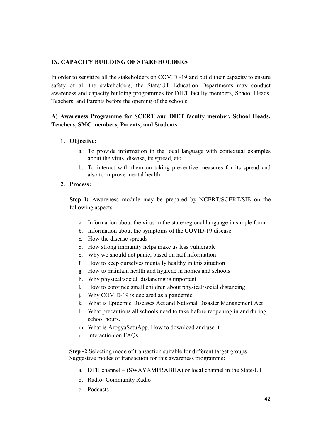# IX. CAPACITY BUILDING OF STAKEHOLDERS

In order to sensitize all the stakeholders on COVID -19 and build their capacity to ensure safety of all the stakeholders, the State/UT Education Departments may conduct awareness and capacity building programmes for DIET faculty members, School Heads, Teachers, and Parents before the opening of the schools.

# A) Awareness Programme for SCERT and DIET faculty member, School Heads, Teachers, SMC members, Parents, and Students

# 1. Objective:

- a. To provide information in the local language with contextual examples about the virus, disease, its spread, etc.
- b. To interact with them on taking preventive measures for its spread and also to improve mental health.

# 2. Process:

Step I: Awareness module may be prepared by NCERT/SCERT/SIE on the following aspects:

- a. Information about the virus in the state/regional language in simple form.
- b. Information about the symptoms of the COVID-19 disease
- c. How the disease spreads
- d. How strong immunity helps make us less vulnerable
- e. Why we should not panic, based on half information
- f. How to keep ourselves mentally healthy in this situation
- g. How to maintain health and hygiene in homes and schools
- h. Why physical/social distancing is important
- i. How to convince small children about physical/social distancing
- j. Why COVID-19 is declared as a pandemic
- k. What is Epidemic Diseases Act and National Disaster Management Act
- l. What precautions all schools need to take before reopening in and during school hours.
- m. What is ArogyaSetuApp. How to download and use it
- n. Interaction on FAQs

Step -2 Selecting mode of transaction suitable for different target groups Suggestive modes of transaction for this awareness programme:

- a. DTH channel (SWAYAMPRABHA) or local channel in the State/UT
- b. Radio- Community Radio
- c. Podcasts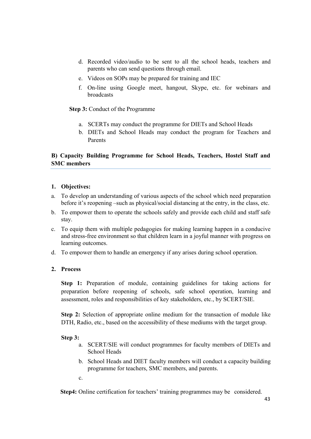- d. Recorded video/audio to be sent to all the school heads, teachers and parents who can send questions through email.
- e. Videos on SOPs may be prepared for training and IEC
- f. On-line using Google meet, hangout, Skype, etc. for webinars and broadcasts

Step 3: Conduct of the Programme

- a. SCERTs may conduct the programme for DIETs and School Heads
- b. DIETs and School Heads may conduct the program for Teachers and Parents

# B) Capacity Building Programme for School Heads, Teachers, Hostel Staff and SMC members

# 1. Objectives:

- a. To develop an understanding of various aspects of the school which need preparation before it's reopening –such as physical/social distancing at the entry, in the class, etc.
- b. To empower them to operate the schools safely and provide each child and staff safe stay.
- c. To equip them with multiple pedagogies for making learning happen in a conducive and stress-free environment so that children learn in a joyful manner with progress on learning outcomes.
- d. To empower them to handle an emergency if any arises during school operation.

# 2. Process

Step 1: Preparation of module, containing guidelines for taking actions for preparation before reopening of schools, safe school operation, learning and assessment, roles and responsibilities of key stakeholders, etc., by SCERT/SIE.

Step 2: Selection of appropriate online medium for the transaction of module like DTH, Radio, etc., based on the accessibility of these mediums with the target group.

## Step 3:

- a. SCERT/SIE will conduct programmes for faculty members of DIETs and School Heads
- b. School Heads and DIET faculty members will conduct a capacity building programme for teachers, SMC members, and parents.
- c.

Step4: Online certification for teachers' training programmes may be considered.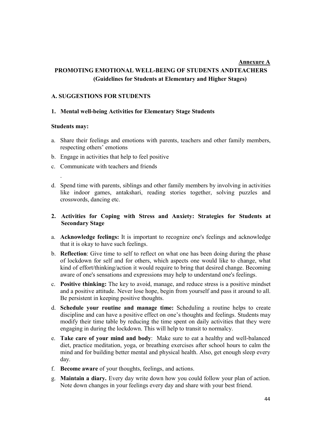# Annexure A PROMOTING EMOTIONAL WELL-BEING OF STUDENTS ANDTEACHERS (Guidelines for Students at Elementary and Higher Stages)

# A. SUGGESTIONS FOR STUDENTS

## 1. Mental well-being Activities for Elementary Stage Students

#### Students may:

.

- a. Share their feelings and emotions with parents, teachers and other family members, respecting others' emotions
- b. Engage in activities that help to feel positive
- c. Communicate with teachers and friends
- d. Spend time with parents, siblings and other family members by involving in activities like indoor games, antakshari, reading stories together, solving puzzles and crosswords, dancing etc.

## 2. Activities for Coping with Stress and Anxiety: Strategies for Students at Secondary Stage

- a. Acknowledge feelings: It is important to recognize one's feelings and acknowledge that it is okay to have such feelings.
- b. Reflection: Give time to self to reflect on what one has been doing during the phase of lockdown for self and for others, which aspects one would like to change, what kind of effort/thinking/action it would require to bring that desired change. Becoming aware of one's sensations and expressions may help to understand one's feelings.
- c. Positive thinking: The key to avoid, manage, and reduce stress is a positive mindset and a positive attitude. Never lose hope, begin from yourself and pass it around to all. Be persistent in keeping positive thoughts.
- d. Schedule your routine and manage time: Scheduling a routine helps to create discipline and can have a positive effect on one's thoughts and feelings. Students may modify their time table by reducing the time spent on daily activities that they were engaging in during the lockdown. This will help to transit to normalcy.
- e. Take care of your mind and body: Make sure to eat a healthy and well-balanced diet, practice meditation, yoga, or breathing exercises after school hours to calm the mind and for building better mental and physical health. Also, get enough sleep every day.
- f. Become aware of your thoughts, feelings, and actions.
- g. Maintain a diary. Every day write down how you could follow your plan of action. Note down changes in your feelings every day and share with your best friend.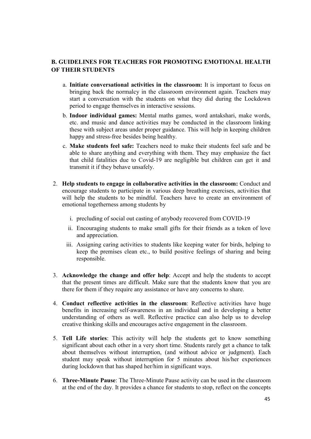# B. GUIDELINES FOR TEACHERS FOR PROMOTING EMOTIONAL HEALTH OF THEIR STUDENTS

- a. Initiate conversational activities in the classroom: It is important to focus on bringing back the normalcy in the classroom environment again. Teachers may start a conversation with the students on what they did during the Lockdown period to engage themselves in interactive sessions.
- b. Indoor individual games: Mental maths games, word antakshari, make words, etc. and music and dance activities may be conducted in the classroom linking these with subject areas under proper guidance. This will help in keeping children happy and stress-free besides being healthy.
- c. Make students feel safe: Teachers need to make their students feel safe and be able to share anything and everything with them. They may emphasize the fact that child fatalities due to Covid-19 are negligible but children can get it and transmit it if they behave unsafely.
- 2. Help students to engage in collaborative activities in the classroom: Conduct and encourage students to participate in various deep breathing exercises, activities that will help the students to be mindful. Teachers have to create an environment of emotional togetherness among students by
	- i. precluding of social out casting of anybody recovered from COVID-19
	- ii. Encouraging students to make small gifts for their friends as a token of love and appreciation.
	- iii. Assigning caring activities to students like keeping water for birds, helping to keep the premises clean etc., to build positive feelings of sharing and being responsible.
- 3. Acknowledge the change and offer help: Accept and help the students to accept that the present times are difficult. Make sure that the students know that you are there for them if they require any assistance or have any concerns to share.
- 4. Conduct reflective activities in the classroom: Reflective activities have huge benefits in increasing self-awareness in an individual and in developing a better understanding of others as well. Reflective practice can also help us to develop creative thinking skills and encourages active engagement in the classroom.
- 5. Tell Life stories: This activity will help the students get to know something significant about each other in a very short time. Students rarely get a chance to talk about themselves without interruption, (and without advice or judgment). Each student may speak without interruption for 5 minutes about his/her experiences during lockdown that has shaped her/him in significant ways.
- 6. Three-Minute Pause: The Three-Minute Pause activity can be used in the classroom at the end of the day. It provides a chance for students to stop, reflect on the concepts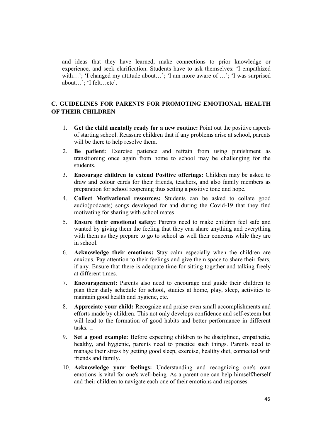and ideas that they have learned, make connections to prior knowledge or experience, and seek clarification. Students have to ask themselves: 'I empathized with...'; 'I changed my attitude about...'; 'I am more aware of ...'; 'I was surprised about…'; 'I felt…etc'.

# C. GUIDELINES FOR PARENTS FOR PROMOTING EMOTIONAL HEALTH OF THEIR CHILDREN

- 1. Get the child mentally ready for a new routine: Point out the positive aspects of starting school. Reassure children that if any problems arise at school, parents will be there to help resolve them.
- 2. Be patient: Exercise patience and refrain from using punishment as transitioning once again from home to school may be challenging for the students.
- 3. Encourage children to extend Positive offerings: Children may be asked to draw and colour cards for their friends, teachers, and also family members as preparation for school reopening thus setting a positive tone and hope.
- 4. Collect Motivational resources: Students can be asked to collate good audio(podcasts) songs developed for and during the Covid-19 that they find motivating for sharing with school mates
- 5. Ensure their emotional safety: Parents need to make children feel safe and wanted by giving them the feeling that they can share anything and everything with them as they prepare to go to school as well their concerns while they are in school.
- 6. Acknowledge their emotions: Stay calm especially when the children are anxious. Pay attention to their feelings and give them space to share their fears, if any. Ensure that there is adequate time for sitting together and talking freely at different times.
- 7. Encouragement: Parents also need to encourage and guide their children to plan their daily schedule for school, studies at home, play, sleep, activities to maintain good health and hygiene, etc.
- 8. Appreciate your child: Recognize and praise even small accomplishments and efforts made by children. This not only develops confidence and self-esteem but will lead to the formation of good habits and better performance in different tasks.  $\square$
- 9. Set a good example: Before expecting children to be disciplined, empathetic, healthy, and hygienic, parents need to practice such things. Parents need to manage their stress by getting good sleep, exercise, healthy diet, connected with friends and family.
- 10. Acknowledge your feelings: Understanding and recognizing one's own emotions is vital for one's well-being. As a parent one can help himself/herself and their children to navigate each one of their emotions and responses.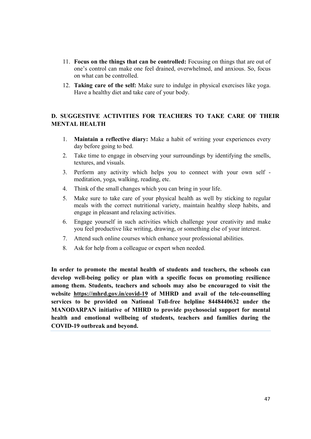- 11. Focus on the things that can be controlled: Focusing on things that are out of one's control can make one feel drained, overwhelmed, and anxious. So, focus on what can be controlled.
- 12. Taking care of the self: Make sure to indulge in physical exercises like yoga. Have a healthy diet and take care of your body.

# D. SUGGESTIVE ACTIVITIES FOR TEACHERS TO TAKE CARE OF THEIR MENTAL HEALTH

- 1. Maintain a reflective diary: Make a habit of writing your experiences every day before going to bed.
- 2. Take time to engage in observing your surroundings by identifying the smells, textures, and visuals.
- 3. Perform any activity which helps you to connect with your own self meditation, yoga, walking, reading, etc.
- 4. Think of the small changes which you can bring in your life.
- 5. Make sure to take care of your physical health as well by sticking to regular meals with the correct nutritional variety, maintain healthy sleep habits, and engage in pleasant and relaxing activities.
- 6. Engage yourself in such activities which challenge your creativity and make you feel productive like writing, drawing, or something else of your interest.
- 7. Attend such online courses which enhance your professional abilities.
- 8. Ask for help from a colleague or expert when needed.

In order to promote the mental health of students and teachers, the schools can develop well-being policy or plan with a specific focus on promoting resilience among them. Students, teachers and schools may also be encouraged to visit the website https://mhrd.gov.in/covid-19 of MHRD and avail of the tele-counselling services to be provided on National Toll-free helpline 8448440632 under the MANODARPAN initiative of MHRD to provide psychosocial support for mental health and emotional wellbeing of students, teachers and families during the COVID-19 outbreak and beyond.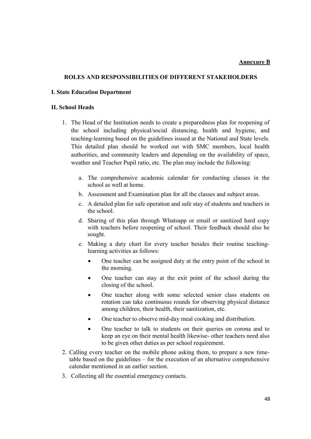#### Annexure B

#### ROLES AND RESPONSIBILITIES OF DIFFERENT STAKEHOLDERS

#### I. State Education Department

#### II. School Heads

- 1. The Head of the Institution needs to create a preparedness plan for reopening of the school including physical/social distancing, health and hygiene, and teaching-learning based on the guidelines issued at the National and State levels. This detailed plan should be worked out with SMC members, local health authorities, and community leaders and depending on the availability of space, weather and Teacher Pupil ratio, etc. The plan may include the following:
	- a. The comprehensive academic calendar for conducting classes in the school as well at home.
	- b. Assessment and Examination plan for all the classes and subject areas.
	- c. A detailed plan for safe operation and safe stay of students and teachers in the school.
	- d. Sharing of this plan through Whatsapp or email or sanitized hard copy with teachers before reopening of school. Their feedback should also be sought.
	- e. Making a duty chart for every teacher besides their routine teachinglearning activities as follows:
		- One teacher can be assigned duty at the entry point of the school in the morning.
		- One teacher can stay at the exit point of the school during the closing of the school.
		- One teacher along with some selected senior class students on rotation can take continuous rounds for observing physical distance among children, their health, their sanitization, etc.
		- One teacher to observe mid-day meal cooking and distribution.
		- One teacher to talk to students on their queries on corona and to keep an eye on their mental health likewise- other teachers need also to be given other duties as per school requirement.
- 2. Calling every teacher on the mobile phone asking them, to prepare a new timetable based on the guidelines – for the execution of an alternative comprehensive calendar mentioned in an earlier section.
- 3. Collecting all the essential emergency contacts.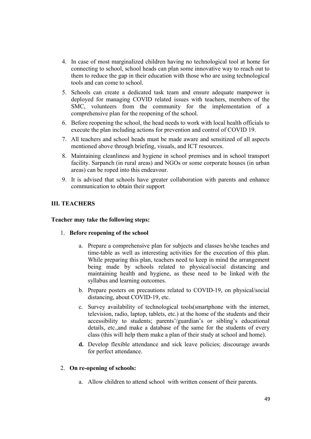- 4. In case of most marginalized children having no technological tool at home for connecting to school, school heads can plan some innovative way to reach out to them to reduce the gap in their education with those who are using technological tools and can come to school.
- 5. Schools can create a dedicated task team and ensure adequate manpower is deployed for managing COVID related issues with teachers, members of the SMC, volunteers from the community for the implementation of a comprehensive plan for the reopening of the school.
- 6. Before reopening the school, the head needs to work with local health officials to execute the plan including actions for prevention and control of COVID 19.
- 7. All teachers and school heads must be made aware and sensitized of all aspects mentioned above through briefing, visuals, and ICT resources.
- 8. Maintaining cleanliness and hygiene in school premises and in school transport facility. Sarpanch (in rural areas) and NGOs or some corporate houses (in urban areas) can be roped into this endeavour.
- 9. It is advised that schools have greater collaboration with parents and enhance communication to obtain their support

# III. TEACHERS

#### Teacher may take the following steps:

- 1. Before reopening of the school
	- a. Prepare a comprehensive plan for subjects and classes he/she teaches and time-table as well as interesting activities for the execution of this plan. While preparing this plan, teachers need to keep in mind the arrangement being made by schools related to physical/social distancing and maintaining health and hygiene, as these need to be linked with the syllabus and learning outcomes.
	- b. Prepare posters on precautions related to COVID-19, on physical/social distancing, about COVID-19, etc.
	- c. Survey availability of technological tools(smartphone with the internet, television, radio, laptop, tablets, etc.) at the home of the students and their accessibility to students; parents'/guardian's or sibling's educational details, etc.,and make a database of the same for the students of every class (this will help them make a plan of their study at school and home).
	- d. Develop flexible attendance and sick leave policies; discourage awards for perfect attendance.

#### 2. On re-opening of schools:

a. Allow children to attend school with written consent of their parents.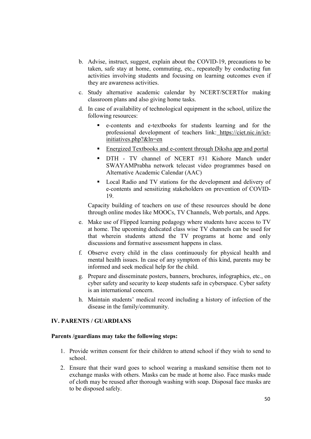- b. Advise, instruct, suggest, explain about the COVID-19, precautions to be taken, safe stay at home, commuting, etc., repeatedly by conducting fun activities involving students and focusing on learning outcomes even if they are awareness activities.
- c. Study alternative academic calendar by NCERT/SCERTfor making classroom plans and also giving home tasks.
- d. In case of availability of technological equipment in the school, utilize the following resources:
	- e-contents and e-textbooks for students learning and for the professional development of teachers link: https://ciet.nic.in/ictinitiatives.php?&ln=en
	- **Energized Textbooks and e-content through Diksha app and portal**
	- DTH TV channel of NCERT #31 Kishore Manch under SWAYAMPrabha network telecast video programmes based on Alternative Academic Calendar (AAC)
	- Local Radio and TV stations for the development and delivery of e-contents and sensitizing stakeholders on prevention of COVID-19.

Capacity building of teachers on use of these resources should be done through online modes like MOOCs, TV Channels, Web portals, and Apps.

- e. Make use of Flipped learning pedagogy where students have access to TV at home. The upcoming dedicated class wise TV channels can be used for that wherein students attend the TV programs at home and only discussions and formative assessment happens in class.
- f. Observe every child in the class continuously for physical health and mental health issues. In case of any symptom of this kind, parents may be informed and seek medical help for the child.
- g. Prepare and disseminate posters, banners, brochures, infographics, etc., on cyber safety and security to keep students safe in cyberspace. Cyber safety is an international concern.
- h. Maintain students' medical record including a history of infection of the disease in the family/community.

### IV. PARENTS / GUARDIANS

#### Parents /guardians may take the following steps:

- 1. Provide written consent for their children to attend school if they wish to send to school.
- 2. Ensure that their ward goes to school wearing a maskand sensitise them not to exchange masks with others. Masks can be made at home also. Face masks made of cloth may be reused after thorough washing with soap. Disposal face masks are to be disposed safely.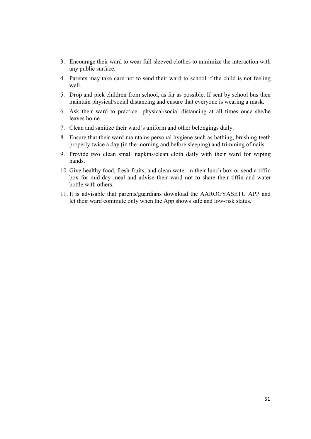- 3. Encourage their ward to wear full-sleeved clothes to minimize the interaction with any public surface.
- 4. Parents may take care not to send their ward to school if the child is not feeling well
- 5. Drop and pick children from school, as far as possible. If sent by school bus then maintain physical/social distancing and ensure that everyone is wearing a mask.
- 6. Ask their ward to practice physical/social distancing at all times once she/he leaves home.
- 7. Clean and sanitize their ward's uniform and other belongings daily.
- 8. Ensure that their ward maintains personal hygiene such as bathing, brushing teeth properly twice a day (in the morning and before sleeping) and trimming of nails.
- 9. Provide two clean small napkins/clean cloth daily with their ward for wiping hands.
- 10. Give healthy food, fresh fruits, and clean water in their lunch box or send a tiffin box for mid-day meal and advise their ward not to share their tiffin and water bottle with others.
- 11. It is advisable that parents/guardians download the AAROGYASETU APP and let their ward commute only when the App shows safe and low-risk status.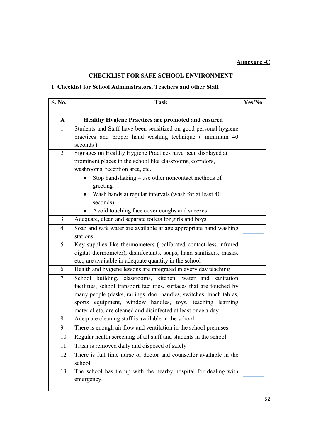# CHECKLIST FOR SAFE SCHOOL ENVIRONMENT

# 1. Checklist for School Administrators, Teachers and other Staff

| $\mathbf{A}$<br><b>Healthy Hygiene Practices are promoted and ensured</b><br>Students and Staff have been sensitized on good personal hygiene<br>$\mathbf{1}$<br>practices and proper hand washing technique (minimum 40)<br>seconds)<br>Signages on Healthy Hygiene Practices have been displayed at<br>2<br>prominent places in the school like classrooms, corridors,<br>washrooms, reception area, etc.<br>Stop handshaking – use other noncontact methods of<br>greeting<br>Wash hands at regular intervals (wash for at least 40<br>seconds) |  |
|----------------------------------------------------------------------------------------------------------------------------------------------------------------------------------------------------------------------------------------------------------------------------------------------------------------------------------------------------------------------------------------------------------------------------------------------------------------------------------------------------------------------------------------------------|--|
|                                                                                                                                                                                                                                                                                                                                                                                                                                                                                                                                                    |  |
|                                                                                                                                                                                                                                                                                                                                                                                                                                                                                                                                                    |  |
|                                                                                                                                                                                                                                                                                                                                                                                                                                                                                                                                                    |  |
|                                                                                                                                                                                                                                                                                                                                                                                                                                                                                                                                                    |  |
|                                                                                                                                                                                                                                                                                                                                                                                                                                                                                                                                                    |  |
|                                                                                                                                                                                                                                                                                                                                                                                                                                                                                                                                                    |  |
|                                                                                                                                                                                                                                                                                                                                                                                                                                                                                                                                                    |  |
|                                                                                                                                                                                                                                                                                                                                                                                                                                                                                                                                                    |  |
| Avoid touching face cover coughs and sneezes                                                                                                                                                                                                                                                                                                                                                                                                                                                                                                       |  |
| Adequate, clean and separate toilets for girls and boys<br>$\overline{3}$                                                                                                                                                                                                                                                                                                                                                                                                                                                                          |  |
| Soap and safe water are available at age appropriate hand washing<br>$\overline{4}$<br>stations                                                                                                                                                                                                                                                                                                                                                                                                                                                    |  |
| 5<br>Key supplies like thermometers (calibrated contact-less infrared                                                                                                                                                                                                                                                                                                                                                                                                                                                                              |  |
| digital thermometer), disinfectants, soaps, hand sanitizers, masks,                                                                                                                                                                                                                                                                                                                                                                                                                                                                                |  |
| etc., are available in adequate quantity in the school                                                                                                                                                                                                                                                                                                                                                                                                                                                                                             |  |
| Health and hygiene lessons are integrated in every day teaching<br>6                                                                                                                                                                                                                                                                                                                                                                                                                                                                               |  |
| School building, classrooms, kitchen, water and sanitation<br>7                                                                                                                                                                                                                                                                                                                                                                                                                                                                                    |  |
| facilities, school transport facilities, surfaces that are touched by                                                                                                                                                                                                                                                                                                                                                                                                                                                                              |  |
| many people (desks, railings, door handles, switches, lunch tables,                                                                                                                                                                                                                                                                                                                                                                                                                                                                                |  |
| sports equipment, window handles, toys, teaching learning                                                                                                                                                                                                                                                                                                                                                                                                                                                                                          |  |
| material etc. are cleaned and disinfected at least once a day                                                                                                                                                                                                                                                                                                                                                                                                                                                                                      |  |
| Adequate cleaning staff is available in the school<br>8                                                                                                                                                                                                                                                                                                                                                                                                                                                                                            |  |
| There is enough air flow and ventilation in the school premises<br>9                                                                                                                                                                                                                                                                                                                                                                                                                                                                               |  |
| Regular health screening of all staff and students in the school<br>10                                                                                                                                                                                                                                                                                                                                                                                                                                                                             |  |
| Trash is removed daily and disposed of safely<br>11                                                                                                                                                                                                                                                                                                                                                                                                                                                                                                |  |
| There is full time nurse or doctor and counsellor available in the<br>12                                                                                                                                                                                                                                                                                                                                                                                                                                                                           |  |
| school.                                                                                                                                                                                                                                                                                                                                                                                                                                                                                                                                            |  |
| The school has tie up with the nearby hospital for dealing with<br>13                                                                                                                                                                                                                                                                                                                                                                                                                                                                              |  |
| emergency.                                                                                                                                                                                                                                                                                                                                                                                                                                                                                                                                         |  |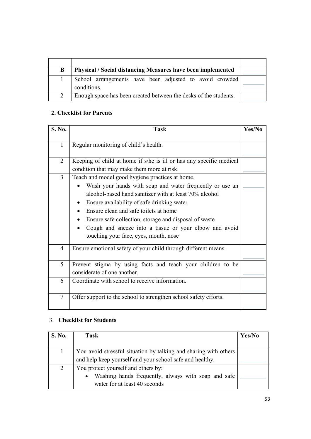| B | Physical / Social distancing Measures have been implemented            |  |
|---|------------------------------------------------------------------------|--|
|   | School arrangements have been adjusted to avoid crowded<br>conditions. |  |
|   | Enough space has been created between the desks of the students.       |  |

# 2. Checklist for Parents

| S. No.         | <b>Task</b>                                                                                                                                                                                                                                                                                                                                                                                                                           | Yes/No |
|----------------|---------------------------------------------------------------------------------------------------------------------------------------------------------------------------------------------------------------------------------------------------------------------------------------------------------------------------------------------------------------------------------------------------------------------------------------|--------|
| $\mathbf{1}$   | Regular monitoring of child's health.                                                                                                                                                                                                                                                                                                                                                                                                 |        |
| $\overline{2}$ | Keeping of child at home if s/he is ill or has any specific medical<br>condition that may make them more at risk.                                                                                                                                                                                                                                                                                                                     |        |
| 3              | Teach and model good hygiene practices at home.<br>Wash your hands with soap and water frequently or use an<br>alcohol-based hand sanitizer with at least 70% alcohol<br>Ensure availability of safe drinking water<br>Ensure clean and safe toilets at home<br>Ensure safe collection, storage and disposal of waste<br>$\bullet$<br>Cough and sneeze into a tissue or your elbow and avoid<br>touching your face, eyes, mouth, nose |        |
| $\overline{4}$ | Ensure emotional safety of your child through different means.                                                                                                                                                                                                                                                                                                                                                                        |        |
| 5              | Prevent stigma by using facts and teach your children to be<br>considerate of one another.                                                                                                                                                                                                                                                                                                                                            |        |
| 6              | Coordinate with school to receive information.                                                                                                                                                                                                                                                                                                                                                                                        |        |
| 7              | Offer support to the school to strengthen school safety efforts.                                                                                                                                                                                                                                                                                                                                                                      |        |

# 3. Checklist for Students

| S. No. | Task                                                             | Yes/No |
|--------|------------------------------------------------------------------|--------|
|        |                                                                  |        |
|        | You avoid stressful situation by talking and sharing with others |        |
|        | and help keep yourself and your school safe and healthy.         |        |
| 2      | You protect yourself and others by:                              |        |
|        | Washing hands frequently, always with soap and safe              |        |
|        | water for at least 40 seconds                                    |        |